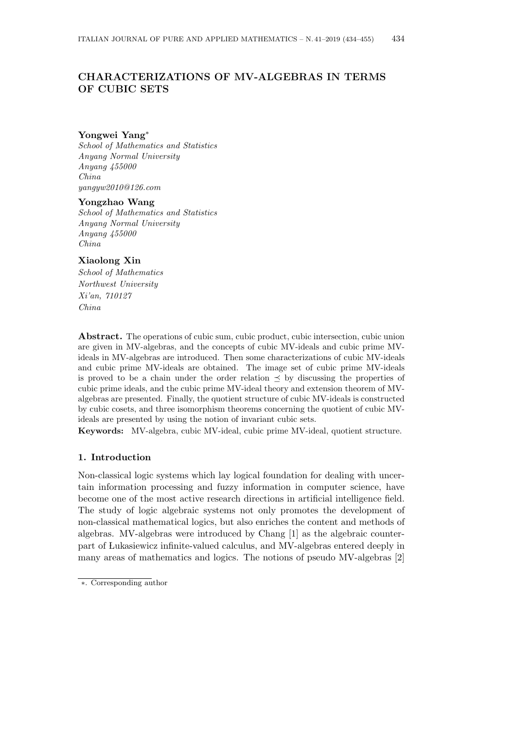# **CHARACTERIZATIONS OF MV-ALGEBRAS IN TERMS OF CUBIC SETS**

# **Yongwei Yang***∗*

*School of Mathematics and Statistics Anyang Normal University Anyang 455000 China yangyw2010@126.com*

#### **Yongzhao Wang**

*School of Mathematics and Statistics Anyang Normal University Anyang 455000 China*

# **Xiaolong Xin**

*School of Mathematics Northwest University Xi'an, 710127 China*

**Abstract.** The operations of cubic sum, cubic product, cubic intersection, cubic union are given in MV-algebras, and the concepts of cubic MV-ideals and cubic prime MVideals in MV-algebras are introduced. Then some characterizations of cubic MV-ideals and cubic prime MV-ideals are obtained. The image set of cubic prime MV-ideals is proved to be a chain under the order relation *≼* by discussing the properties of cubic prime ideals, and the cubic prime MV-ideal theory and extension theorem of MValgebras are presented. Finally, the quotient structure of cubic MV-ideals is constructed by cubic cosets, and three isomorphism theorems concerning the quotient of cubic MVideals are presented by using the notion of invariant cubic sets.

**Keywords:** MV-algebra, cubic MV-ideal, cubic prime MV-ideal, quotient structure.

# **1. Introduction**

Non-classical logic systems which lay logical foundation for dealing with uncertain information processing and fuzzy information in computer science, have become one of the most active research directions in artificial intelligence field. The study of logic algebraic systems not only promotes the development of non-classical mathematical logics, but also enriches the content and methods of algebras. MV-algebras were introduced by Chang [1] as the algebraic counterpart of Lukasiewicz infinite-valued calculus, and MV-algebras entered deeply in many areas of mathematics and logics. The notions of pseudo MV-algebras [2]

*<sup>∗</sup>*. Corresponding author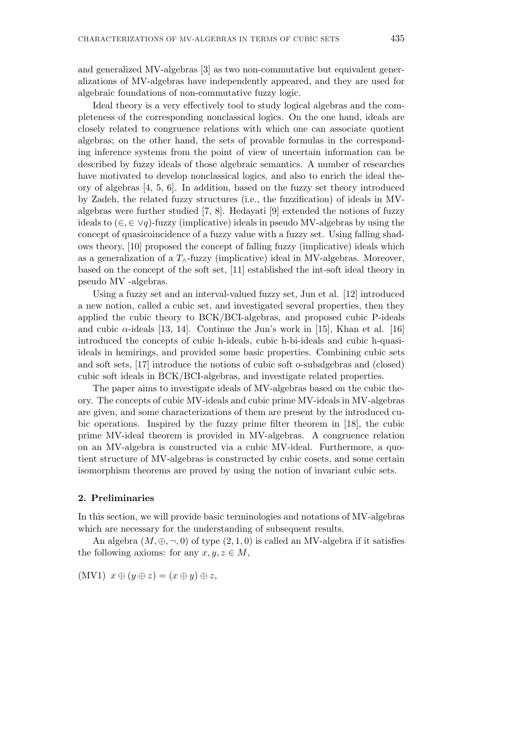and generalized MV-algebras [3] as two non-commutative but equivalent generalizations of MV-algebras have independently appeared, and they are used for algebraic foundations of non-commutative fuzzy logic.

Ideal theory is a very effectively tool to study logical algebras and the completeness of the corresponding nonclassical logics. On the one hand, ideals are closely related to congruence relations with which one can associate quotient algebras; on the other hand, the sets of provable formulas in the corresponding inference systems from the point of view of uncertain information can be described by fuzzy ideals of those algebraic semantics. A number of researches have motivated to develop nonclassical logics, and also to enrich the ideal theory of algebras [4, 5, 6]. In addition, based on the fuzzy set theory introduced by Zadeh, the related fuzzy structures (i.e., the fuzzification) of ideals in MValgebras were further studied [7, 8]. Hedayati [9] extended the notions of fuzzy ideals to (*∈, ∈ ∨q*)-fuzzy (implicative) ideals in pseudo MV-algebras by using the concept of quasicoincidence of a fuzzy value with a fuzzy set. Using falling shadows theory, [10] proposed the concept of falling fuzzy (implicative) ideals which as a generalization of a  $T_\wedge$ -fuzzy (implicative) ideal in MV-algebras. Moreover, based on the concept of the soft set, [11] established the int-soft ideal theory in pseudo MV -algebras.

Using a fuzzy set and an interval-valued fuzzy set, Jun et al. [12] introduced a new notion, called a cubic set, and investigated several properties, then they applied the cubic theory to BCK/BCI-algebras, and proposed cubic P-ideals and cubic  $\alpha$ -ideals [13, 14]. Continue the Jun's work in [15], Khan et al. [16] introduced the concepts of cubic h-ideals, cubic h-bi-ideals and cubic h-quasiideals in hemirings, and provided some basic properties. Combining cubic sets and soft sets, [17] introduce the notions of cubic soft o-subalgebras and (closed) cubic soft ideals in BCK/BCI-algebras, and investigate related properties.

The paper aims to investigate ideals of MV-algebras based on the cubic theory. The concepts of cubic MV-ideals and cubic prime MV-ideals in MV-algebras are given, and some characterizations of them are present by the introduced cubic operations. Inspired by the fuzzy prime filter theorem in [18], the cubic prime MV-ideal theorem is provided in MV-algebras. A congruence relation on an MV-algebra is constructed via a cubic MV-ideal. Furthermore, a quotient structure of MV-algebras is constructed by cubic cosets, and some certain isomorphism theorems are proved by using the notion of invariant cubic sets.

### **2. Preliminaries**

In this section, we will provide basic terminologies and notations of MV-algebras which are necessary for the understanding of subsequent results.

An algebra  $(M, \oplus, \neg, 0)$  of type  $(2, 1, 0)$  is called an MV-algebra if it satisfies the following axioms: for any  $x, y, z \in M$ ,

$$
(MVI) \ x \oplus (y \oplus z) = (x \oplus y) \oplus z,
$$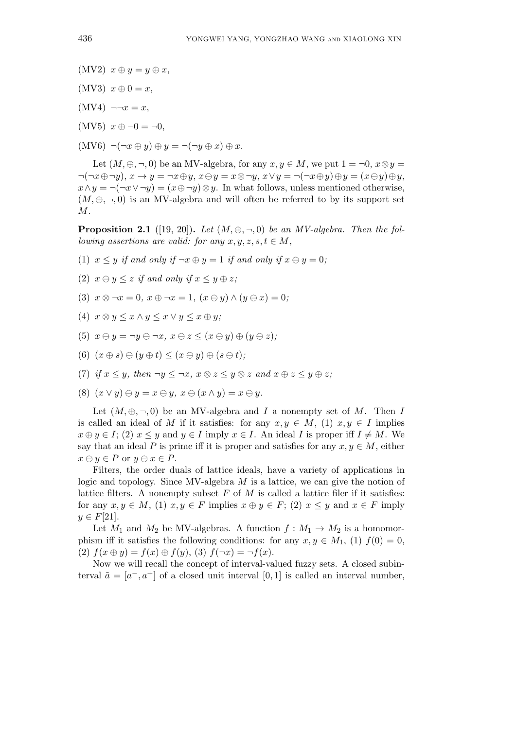- $(MV2)$   $x \oplus y = y \oplus x$ ,
- $(MV3)$   $x \oplus 0 = x$ ,
- $(MV4) \neg \neg x = x,$
- (MV5) *x ⊕ ¬*0 = *¬*0,
- $(MV6) \neg (\neg x \oplus y) \oplus y = \neg (\neg y \oplus x) \oplus x.$

Let  $(M, \oplus, \neg, 0)$  be an MV-algebra, for any  $x, y \in M$ , we put  $1 = \neg 0$ ,  $x \otimes y =$  $\neg(\neg x \oplus \neg y), x \rightarrow y = \neg x \oplus y, x \ominus y = x \otimes \neg y, x \vee y = \neg(\neg x \oplus y) \oplus y = (x \ominus y) \oplus y,$ *x ∧ y* =  $\neg$ ( $\neg$ *x*  $\neg$  $\neg$ *y*) = (*x*  $\oplus$   $\neg$ *y*) ⊗ *y*. In what follows, unless mentioned otherwise,  $(M, \oplus, \neg, 0)$  is an MV-algebra and will often be referred to by its support set *M*.

**Proposition 2.1** ([19, 20]). Let  $(M, \oplus, \neg, 0)$  be an MV-algebra. Then the fol*lowing assertions are valid: for any*  $x, y, z, s, t \in M$ ,

- (1)  $x \leq y$  *if and only if*  $\neg x \oplus y = 1$  *if and only if*  $x \ominus y = 0$ ;
- (2)  $x \ominus y \leq z$  *if and only if*  $x \leq y \oplus z$ ;
- (3)  $x \otimes \neg x = 0, x \oplus \neg x = 1, (x \ominus y) \wedge (y \ominus x) = 0;$
- $(4)$   $x \otimes y \leq x \wedge y \leq x \vee y \leq x \oplus y$ ;
- (5)  $x \ominus y = \neg y \ominus \neg x, x \ominus z \leq (x \ominus y) \oplus (y \ominus z);$
- $(6)$   $(x \oplus s) \ominus (y \oplus t) \leq (x \ominus y) \oplus (s \ominus t);$
- (7) if  $x \leq y$ , then  $\neg y \leq \neg x$ ,  $x \otimes z \leq y \otimes z$  and  $x \oplus z \leq y \oplus z$ ;
- $(8)$   $(x \vee y) \ominus y = x \ominus y$ ,  $x \ominus (x \wedge y) = x \ominus y$ .

Let  $(M, \oplus, \neg, 0)$  be an MV-algebra and *I* a nonempty set of *M*. Then *I* is called an ideal of *M* if it satisfies: for any  $x, y \in M$ , (1)  $x, y \in I$  implies  $x \oplus y \in I$ ; (2)  $x \leq y$  and  $y \in I$  imply  $x \in I$ . An ideal *I* is proper iff  $I \neq M$ . We say that an ideal *P* is prime iff it is proper and satisfies for any  $x, y \in M$ , either  $x \ominus y \in P$  or  $y \ominus x \in P$ .

Filters, the order duals of lattice ideals, have a variety of applications in logic and topology. Since MV-algebra *M* is a lattice, we can give the notion of lattice filters. A nonempty subset *F* of *M* is called a lattice filer if it satisfies: for any  $x, y \in M$ , (1)  $x, y \in F$  implies  $x \oplus y \in F$ ; (2)  $x \leq y$  and  $x \in F$  imply *y* ∈  $F[21]$ .

Let  $M_1$  and  $M_2$  be MV-algebras. A function  $f : M_1 \to M_2$  is a homomorphism iff it satisfies the following conditions: for any  $x, y \in M_1$ , (1)  $f(0) = 0$ ,  $f(x \oplus y) = f(x) \oplus f(y),$   $(3) f(\neg x) = \neg f(x)$ .

Now we will recall the concept of interval-valued fuzzy sets. A closed subinterval  $\tilde{a} = [a^-, a^+]$  of a closed unit interval [0,1] is called an interval number,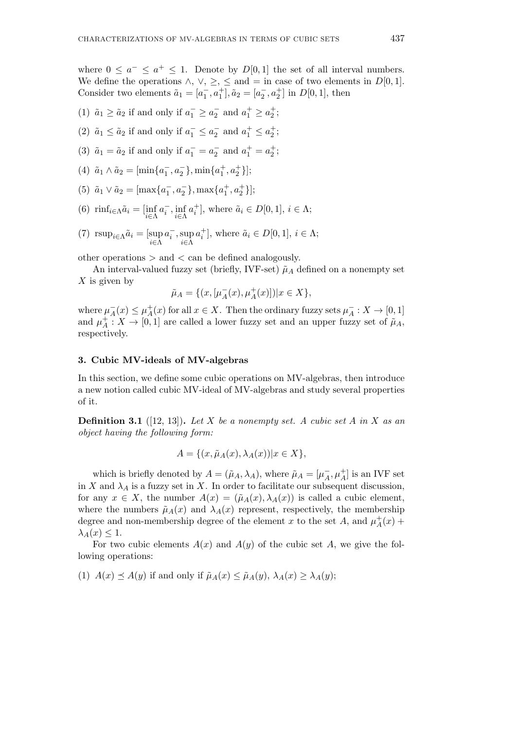where  $0 \leq a^- \leq a^+ \leq 1$ . Denote by  $D[0,1]$  the set of all interval numbers. We define the operations  $\land$ ,  $\lor$ ,  $\geq$ ,  $\leq$  and  $=$  in case of two elements in  $D[0,1]$ . Consider two elements  $\tilde{a}_1 = [a_1^-, a_1^+]$ ,  $\tilde{a}_2 = [a_2^-, a_2^+]$  in  $D[0, 1]$ , then

- (1)  $\tilde{a}_1 \ge \tilde{a}_2$  if and only if  $a_1^- \ge a_2^-$  and  $a_1^+ \ge a_2^+$ ;
- (2)  $\tilde{a}_1 \leq \tilde{a}_2$  if and only if  $a_1^- \leq a_2^-$  and  $a_1^+ \leq a_2^+$ ;
- (3)  $\tilde{a}_1 = \tilde{a}_2$  if and only if  $a_1^- = a_2^-$  and  $a_1^+ = a_2^+$ ;
- (4)  $\tilde{a}_1 \wedge \tilde{a}_2 = [\min\{a_1^-, a_2^-\}, \min\{a_1^+, a_2^+\}];$
- (5)  $\tilde{a}_1 \vee \tilde{a}_2 = [\max\{a_1^-, a_2^-\}, \max\{a_1^+, a_2^+\}];$
- (6)  $\operatorname{rinf}_{i \in \Lambda} \tilde{a}_i = \left[ \inf_{i \in \Lambda} \right]$  $a_i^-, \inf_{i \in \Lambda}$ *i∈*Λ  $a_i^+$ ], where  $\tilde{a}_i \in D[0, 1]$ ,  $i \in \Lambda$ ;
- (7)  $\text{rsup}_{i \in \Lambda} \tilde{a}_i = [\sup_{i \in \Lambda}$  $a_i^-,$ sup *i∈*Λ  $a_i^+$ ], where  $\tilde{a}_i \in D[0, 1]$ ,  $i \in \Lambda$ ;

other operations *>* and *<* can be defined analogously.

An interval-valued fuzzy set (briefly, IVF-set)  $\tilde{\mu}_A$  defined on a nonempty set *X* is given by

$$
\tilde{\mu}_A = \{ (x, [\mu_A^-(x), \mu_A^+(x) ] ) | x \in X \},\
$$

where  $\mu_A^-(x) \leq \mu_A^+$  $A_A^+(x)$  for all  $x \in X$ . Then the ordinary fuzzy sets  $\mu_A^- : X \to [0,1]$ and  $\mu_A^+$  $A \nightharpoonup A : X \to [0,1]$  are called a lower fuzzy set and an upper fuzzy set of  $\tilde{\mu}_A$ , respectively.

# **3. Cubic MV-ideals of MV-algebras**

In this section, we define some cubic operations on MV-algebras, then introduce a new notion called cubic MV-ideal of MV-algebras and study several properties of it.

**Definition 3.1** ([12, 13])**.** *Let X be a nonempty set. A cubic set A in X as an object having the following form:*

$$
A = \{ (x, \tilde{\mu}_A(x), \lambda_A(x)) | x \in X \},\
$$

which is briefly denoted by  $A = (\tilde{\mu}_A, \lambda_A)$ , where  $\tilde{\mu}_A = [\mu_A^-, \mu_A^+]$  is an IVF set in *X* and  $\lambda_A$  is a fuzzy set in *X*. In order to facilitate our subsequent discussion, for any  $x \in X$ , the number  $A(x) = (\tilde{\mu}_A(x), \lambda_A(x))$  is called a cubic element, where the numbers  $\tilde{\mu}_A(x)$  and  $\lambda_A(x)$  represent, respectively, the membership degree and non-membership degree of the element *x* to the set *A*, and  $\mu_A^+$  $^{+}_{A}(x) +$  $\lambda_A(x) \leq 1$ .

For two cubic elements  $A(x)$  and  $A(y)$  of the cubic set A, we give the following operations:

 $(1)$   $A(x) \preceq A(y)$  if and only if  $\tilde{\mu}_A(x) \leq \tilde{\mu}_A(y)$ ,  $\lambda_A(x) \geq \lambda_A(y)$ ;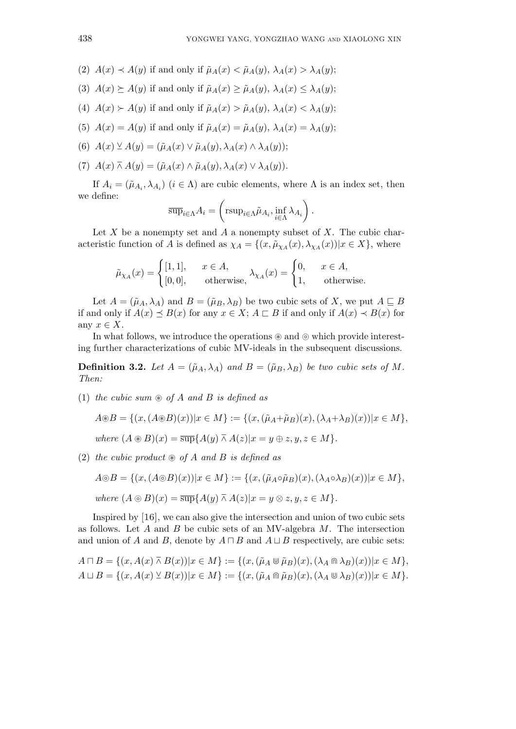- $(2)$   $A(x) \prec A(y)$  if and only if  $\tilde{\mu}_A(x) \prec \tilde{\mu}_A(y), \lambda_A(x) > \lambda_A(y);$
- (3)  $A(x) \succeq A(y)$  if and only if  $\tilde{\mu}_A(x) \geq \tilde{\mu}_A(y)$ ,  $\lambda_A(x) \leq \lambda_A(y)$ ;
- (4)  $A(x) \succ A(y)$  if and only if  $\tilde{\mu}_A(x) > \tilde{\mu}_A(y)$ ,  $\lambda_A(x) < \lambda_A(y)$ ;
- (5)  $A(x) = A(y)$  if and only if  $\tilde{\mu}_A(x) = \tilde{\mu}_A(y), \lambda_A(x) = \lambda_A(y);$
- (6)  $A(x) \veeeq A(y) = (\tilde{\mu}_A(x) \vee \tilde{\mu}_A(y), \lambda_A(x) \wedge \lambda_A(y));$
- $(A \cap \overline{A})(x) = (\tilde{\mu}_A(x) \wedge \tilde{\mu}_A(y), \lambda_A(x) \vee \lambda_A(y)).$

If  $A_i = (\tilde{\mu}_{A_i}, \lambda_{A_i})$   $(i \in \Lambda)$  are cubic elements, where  $\Lambda$  is an index set, then we define:

$$
\overline{\sup}_{i \in \Lambda} A_i = \left( \operatorname{rsup}_{i \in \Lambda} \tilde{\mu}_{A_i}, \inf_{i \in \Lambda} \lambda_{A_i} \right).
$$

Let *X* be a nonempty set and *A* a nonempty subset of *X*. The cubic characteristic function of *A* is defined as  $\chi_A = \{(x, \tilde{\mu}_{\chi_A}(x), \lambda_{\chi_A}(x)) | x \in X\}$ , where

$$
\tilde{\mu}_{\chi_A}(x) = \begin{cases} [1,1], & x \in A, \\ [0,0], & \text{otherwise,} \end{cases} \lambda_{\chi_A}(x) = \begin{cases} 0, & x \in A, \\ 1, & \text{otherwise.} \end{cases}
$$

Let  $A = (\tilde{\mu}_A, \lambda_A)$  and  $B = (\tilde{\mu}_B, \lambda_B)$  be two cubic sets of *X*, we put  $A \subseteq B$ if and only if  $A(x) \leq B(x)$  for any  $x \in X$ ;  $A \sqsubset B$  if and only if  $A(x) \prec B(x)$  for any  $x \in X$ .

In what follows, we introduce the operations  $\circledast$  and  $\circledcirc$  which provide interesting further characterizations of cubic MV-ideals in the subsequent discussions.

**Definition 3.2.** Let  $A = (\tilde{\mu}_A, \lambda_A)$  and  $B = (\tilde{\mu}_B, \lambda_B)$  be two cubic sets of M. *Then:*

 $(1)$  *the cubic sum*  $\otimes$  *of A and B is defined as* 

$$
A \circledast B = \{ (x, (A \circledast B)(x)) | x \in M \} := \{ (x, (\tilde{\mu}_A + \tilde{\mu}_B)(x), (\lambda_A + \lambda_B)(x)) | x \in M \},
$$

where 
$$
(A \circledast B)(x) = \overline{\sup} \{ A(y) \overline{\wedge} A(z) | x = y \oplus z, y, z \in M \}.
$$

 $(2)$  *the cubic product*  $\otimes$  *of A and B is defined as* 

$$
A \odot B = \{ (x, (A \odot B)(x)) | x \in M \} := \{ (x, (\tilde{\mu}_A \circ \tilde{\mu}_B)(x), (\lambda_A \circ \lambda_B)(x)) | x \in M \},
$$

where 
$$
(A \odot B)(x) = \overline{\sup} \{ A(y) \wedge A(z) | x = y \otimes z, y, z \in M \}.
$$

Inspired by [16], we can also give the intersection and union of two cubic sets as follows. Let *A* and *B* be cubic sets of an MV-algebra *M*. The intersection and union of *A* and *B*, denote by  $A \sqcap B$  and  $A \sqcup B$  respectively, are cubic sets:

$$
A \sqcap B = \{(x, A(x) \bar{\wedge} B(x)) | x \in M\} := \{(x, (\tilde{\mu}_A \cup \tilde{\mu}_B)(x), (\lambda_A \cap \lambda_B)(x)) | x \in M\},\newline A \sqcup B = \{(x, A(x) \vee B(x)) | x \in M\} := \{(x, (\tilde{\mu}_A \cap \tilde{\mu}_B)(x), (\lambda_A \cup \lambda_B)(x)) | x \in M\}.
$$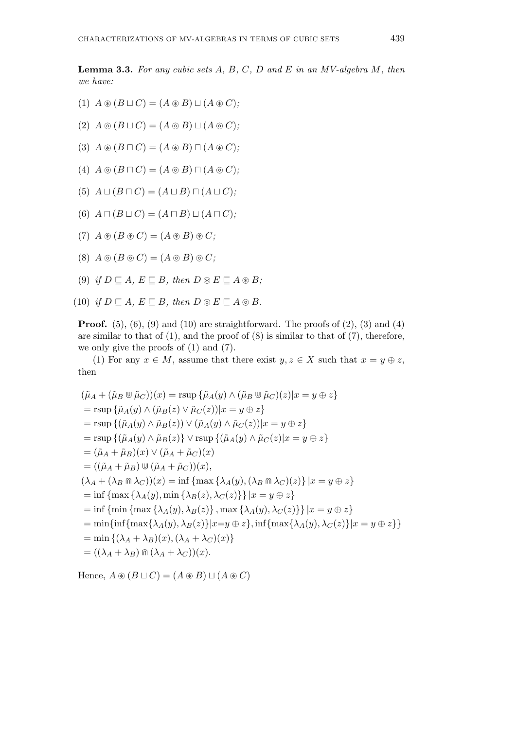**Lemma 3.3.** *For any cubic sets A, B, C, D and E in an MV-algebra M, then we have:*

- $(A)$   $A \circledast (B \sqcup C) = (A \circledast B) \sqcup (A \circledast C);$
- $(A \circledcirc (B \cup C) = (A \circledcirc B) \cup (A \circledcirc C);$
- $(A \circledast (B \sqcap C) = (A \circledast B) \sqcap (A \circledast C);$
- $(A)$   $A \circledcirc (B \cap C) = (A \circledcirc B) \cap (A \circledcirc C);$
- $(A \cup B \cap C) = (A \cup B) \cap (A \cup C);$
- $(A \cap (B \sqcup C) = (A \cap B) \sqcup (A \cap C);$
- $(A \circledast (B \circledast C) = (A \circledast B) \circledast C;$
- $(A)$   $A \circledcirc (B \circledcirc C) = (A \circledcirc B) \circledcirc C;$
- (9) *if*  $D \subseteq A$ *,*  $E \subseteq B$ *, then*  $D \otimes E \subseteq A \otimes B$ *;*
- $(10)$  *if*  $D \sqsubseteq A$ ,  $E \sqsubseteq B$ , then  $D \odot E \sqsubseteq A \odot B$ .

**Proof.**  $(5)$ ,  $(6)$ ,  $(9)$  and  $(10)$  are straightforward. The proofs of  $(2)$ ,  $(3)$  and  $(4)$ are similar to that of  $(1)$ , and the proof of  $(8)$  is similar to that of  $(7)$ , therefore, we only give the proofs of (1) and (7).

(1) For any  $x \in M$ , assume that there exist  $y, z \in X$  such that  $x = y \oplus z$ , then

$$
(\tilde{\mu}_A + (\tilde{\mu}_B \otimes \tilde{\mu}_C))(x) = \text{rsup}\{\tilde{\mu}_A(y) \land (\tilde{\mu}_B \otimes \tilde{\mu}_C)(z)|x = y \oplus z\}
$$
  
\n
$$
= \text{rsup}\{\tilde{\mu}_A(y) \land (\tilde{\mu}_B(z) \lor \tilde{\mu}_C(z))|x = y \oplus z\}
$$
  
\n
$$
= \text{rsup}\{(\tilde{\mu}_A(y) \land \tilde{\mu}_B(z)) \lor (\tilde{\mu}_A(y) \land \tilde{\mu}_C(z))|x = y \oplus z\}
$$
  
\n
$$
= \text{rsup}\{(\tilde{\mu}_A(y) \land \tilde{\mu}_B(z)) \lor \text{rsup}\{(\tilde{\mu}_A(y) \land \tilde{\mu}_C(z)|x = y \oplus z\}
$$
  
\n
$$
= (\tilde{\mu}_A + \tilde{\mu}_B)(x) \lor (\tilde{\mu}_A + \tilde{\mu}_C)(x)
$$
  
\n
$$
= ((\tilde{\mu}_A + \tilde{\mu}_B) \otimes (\tilde{\mu}_A + \tilde{\mu}_C))(x),
$$
  
\n
$$
(\lambda_A + (\lambda_B \cap \lambda_C))(x) = \inf \{\text{max}\{\lambda_A(y), (\lambda_B \cap \lambda_C)(z)\} |x = y \oplus z\}
$$
  
\n
$$
= \inf \{\text{max}\{\lambda_A(y), \lambda_B(z)\}, \text{max}\{\lambda_A(y), \lambda_C(z)\} |x = y \oplus z\}
$$
  
\n
$$
= \min \{\text{inf}\{\text{max}\{\lambda_A(y), \lambda_B(z)\} |x = y \oplus z\}, \text{inf}\{\text{max}\{\lambda_A(y), \lambda_C(z)\} |x = y \oplus z\}\}
$$
  
\n
$$
= \min \{(\lambda_A + \lambda_B)(x), (\lambda_A + \lambda_C)(x)\}
$$
  
\n
$$
= ((\lambda_A + \lambda_B) \cap (\lambda_A + \lambda_C))(x).
$$

 $Hence, A \circledast (B \sqcup C) = (A \circledast B) \sqcup (A \circledast C)$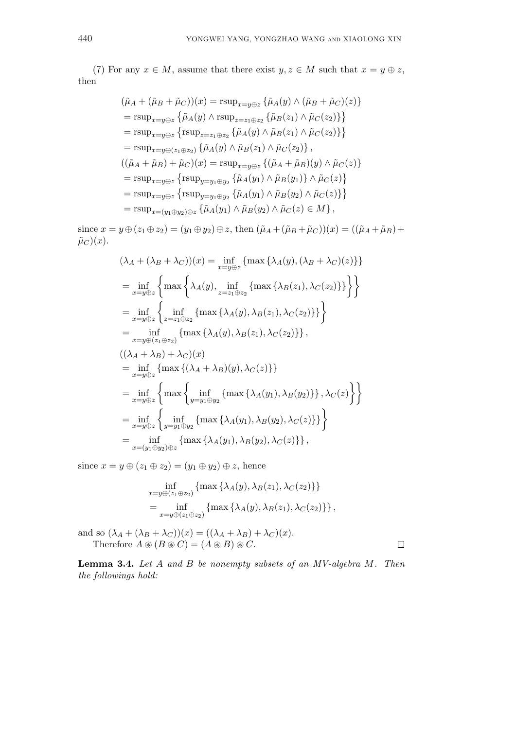(7) For any  $x \in M$ , assume that there exist  $y, z \in M$  such that  $x = y \oplus z$ , then

$$
(\tilde{\mu}_A + (\tilde{\mu}_B + \tilde{\mu}_C))(x) = \text{rsup}_{x=y\oplus z} \{ \tilde{\mu}_A(y) \wedge (\tilde{\mu}_B + \tilde{\mu}_C)(z) \}
$$
  
\n
$$
= \text{rsup}_{x=y\oplus z} \{ \tilde{\mu}_A(y) \wedge \text{rsup}_{z=z_1\oplus z_2} \{ \tilde{\mu}_B(z_1) \wedge \tilde{\mu}_C(z_2) \} \}
$$
  
\n
$$
= \text{rsup}_{x=y\oplus z} \{ \text{rsup}_{z=z_1\oplus z_2} \{ \tilde{\mu}_A(y) \wedge \tilde{\mu}_B(z_1) \wedge \tilde{\mu}_C(z_2) \} \}
$$
  
\n
$$
= \text{rsup}_{x=y\oplus(z_1\oplus z_2)} \{ \tilde{\mu}_A(y) \wedge \tilde{\mu}_B(z_1) \wedge \tilde{\mu}_C(z_2) \},
$$
  
\n
$$
((\tilde{\mu}_A + \tilde{\mu}_B) + \tilde{\mu}_C)(x) = \text{rsup}_{x=y\oplus z} \{ (\tilde{\mu}_A + \tilde{\mu}_B)(y) \wedge \tilde{\mu}_C(z) \}
$$
  
\n
$$
= \text{rsup}_{x=y\oplus z} \{ \text{rsup}_{y=y_1\oplus y_2} \{ \tilde{\mu}_A(y_1) \wedge \tilde{\mu}_B(y_1) \} \wedge \tilde{\mu}_C(z) \}
$$
  
\n
$$
= \text{rsup}_{x=y\oplus z} \{ \text{rsup}_{y=y_1\oplus y_2} \{ \tilde{\mu}_A(y_1) \wedge \tilde{\mu}_B(y_2) \wedge \tilde{\mu}_C(z) \} \}
$$
  
\n
$$
= \text{rsup}_{x=(y_1\oplus y_2)\oplus z} \{ \tilde{\mu}_A(y_1) \wedge \tilde{\mu}_B(y_2) \wedge \tilde{\mu}_C(z) \in M \},
$$

since  $x = y \oplus (z_1 \oplus z_2) = (y_1 \oplus y_2) \oplus z$ , then  $(\tilde{\mu}_A + (\tilde{\mu}_B + \tilde{\mu}_C))(x) = ((\tilde{\mu}_A + \tilde{\mu}_B) +$  $\tilde{\mu}_C(x)$ .

$$
(\lambda_A + (\lambda_B + \lambda_C))(x) = \inf_{x=y \oplus z} \{ \max \{ \lambda_A(y), (\lambda_B + \lambda_C)(z) \} \}
$$
  
\n
$$
= \inf_{x=y \oplus z} \left\{ \max \left\{ \lambda_A(y), \inf_{z=z_1 \oplus z_2} \{ \max \{ \lambda_B(z_1), \lambda_C(z_2) \} \} \right\} \right\}
$$
  
\n
$$
= \inf_{x=y \oplus z} \left\{ \inf_{z=z_1 \oplus z_2} \{ \max \{ \lambda_A(y), \lambda_B(z_1), \lambda_C(z_2) \} \} \right\}
$$
  
\n
$$
= \inf_{x=y \oplus (z_1 \oplus z_2)} \{ \max \{ \lambda_A(y), \lambda_B(z_1), \lambda_C(z_2) \} \},
$$
  
\n
$$
((\lambda_A + \lambda_B) + \lambda_C)(x)
$$
  
\n
$$
= \inf_{x=y \oplus z} \{ \max \{ (\lambda_A + \lambda_B)(y), \lambda_C(z) \} \}
$$
  
\n
$$
= \inf_{x=y \oplus z} \left\{ \max \left\{ \inf_{y=y_1 \oplus y_2} \{ \max \{ \lambda_A(y_1), \lambda_B(y_2), \lambda_C(z) \} \} \right\}
$$
  
\n
$$
= \inf_{x=y \oplus z} \left\{ \inf_{y=y_1 \oplus y_2} \{ \max \{ \lambda_A(y_1), \lambda_B(y_2), \lambda_C(z) \} \} \right\}
$$
  
\n
$$
= \inf_{x=(y_1 \oplus y_2) \oplus z} \{ \max \{ \lambda_A(y_1), \lambda_B(y_2), \lambda_C(z) \} \} ,
$$

since  $x = y \oplus (z_1 \oplus z_2) = (y_1 \oplus y_2) \oplus z$ , hence

$$
\inf_{x=y\oplus(z_1\oplus z_2)} \{ \max \{ \lambda_A(y), \lambda_B(z_1), \lambda_C(z_2) \} \}
$$
  
= 
$$
\inf_{x=y\oplus(z_1\oplus z_2)} \{ \max \{ \lambda_A(y), \lambda_B(z_1), \lambda_C(z_2) \} \},
$$

and so  $(\lambda_A + (\lambda_B + \lambda_C))(x) = ((\lambda_A + \lambda_B) + \lambda_C)(x)$ . Therefore  $A \circledast (B \circledast C) = (A \circledast B) \circledast C$ .

**Lemma 3.4.** *Let A and B be nonempty subsets of an MV-algebra M. Then the followings hold:*

 $\Box$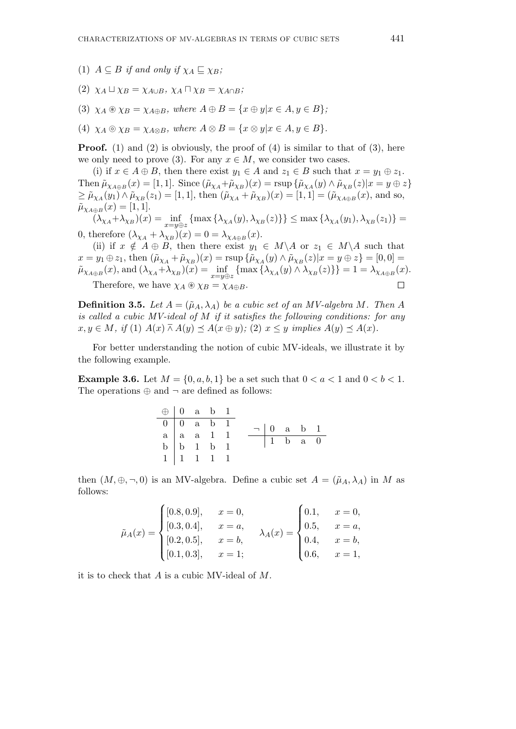- (1)  $A \subseteq B$  *if and only if*  $\chi_A \sqsubseteq \chi_B$ ;
- $(2)$   $\chi_A \sqcup \chi_B = \chi_{A \cup B}$ ,  $\chi_A \sqcap \chi_B = \chi_{A \cap B}$ ;
- $(3)$   $\chi_A \otimes \chi_B = \chi_{A \oplus B}$ , where  $A \oplus B = \{x \oplus y | x \in A, y \in B\}$ ;
- $(4)$   $\chi_A \odot \chi_B = \chi_{A \otimes B}$ , where  $A \otimes B = \{x \otimes y | x \in A, y \in B\}$ .

**Proof.** (1) and (2) is obviously, the proof of (4) is similar to that of (3), here we only need to prove (3). For any  $x \in M$ , we consider two cases.

(i) if  $x \in A \oplus B$ , then there exist  $y_1 \in A$  and  $z_1 \in B$  such that  $x = y_1 \oplus z_1$ . Then  $\tilde{\mu}_{\chi_{A\oplus B}}(x) = [1, 1]$ . Since  $(\tilde{\mu}_{\chi_A} + \tilde{\mu}_{\chi_B})(x) = \text{rsup } \{\tilde{\mu}_{\chi_A}(y) \wedge \tilde{\mu}_{\chi_B}(z) | x = y \oplus z\}$  $\geq \tilde{\mu}_{\chi_A}(y_1) \wedge \tilde{\mu}_{\chi_B}(z_1) = [1, 1],$  then  $(\tilde{\mu}_{\chi_A} + \tilde{\mu}_{\chi_B})(x) = [1, 1] = (\tilde{\mu}_{\chi_{A \oplus B}}(x)),$  and so,  $\tilde{\mu}_{\chi_{A\oplus B}}(x) = [1, 1].$ 

 $(\lambda_{\chi_A} + \lambda_{\chi_B})(x) = \inf_{x \to \chi(x)}$  $\inf_{x=y\oplus z} \{ \max \{ \lambda_{\chi_A}(y), \lambda_{\chi_B}(z) \} \} \leq \max \{ \lambda_{\chi_A}(y_1), \lambda_{\chi_B}(z_1) \} =$ 0, therefore  $(\lambda_{\chi_A} + \lambda_{\chi_B})(x) = 0 = \lambda_{\chi_{A \oplus B}}(x)$ .

(ii) if  $x \notin A \oplus B$ , then there exist  $y_1 \in M \backslash A$  or  $z_1 \in M \backslash A$  such that  $x = y_1 \oplus z_1$ , then  $(\tilde{\mu}_{\chi_A} + \tilde{\mu}_{\chi_B})(x) = \text{rsup } \{\tilde{\mu}_{\chi_A}(y) \wedge \tilde{\mu}_{\chi_B}(z)|x = y \oplus z\} = [0,0] =$  $\tilde{\mu}_{\chi_{A\oplus B}}(x)$ , and  $(\lambda_{\chi_A} + \lambda_{\chi_B})(x) = \inf_{x=y \in B}$  $\inf_{x=y\oplus z} \{ \max \{ \lambda_{\chi_A}(y) \wedge \lambda_{\chi_B}(z) \} \} = 1 = \lambda_{\chi_{A\oplus B}(x)}$ . Therefore, we have  $\chi_A \otimes \chi_B = \chi_{A \oplus B}$ .

**Definition 3.5.** Let  $A = (\tilde{\mu}_A, \lambda_A)$  be a cubic set of an MV-algebra M. Then A *is called a cubic MV-ideal of M if it satisfies the following conditions: for any*  $x, y \in M$ , if (1)  $A(x) \bar{\wedge} A(y) \prec A(x \oplus y)$ ; (2)  $x \leq y$  implies  $A(y) \prec A(x)$ .

For better understanding the notion of cubic MV-ideals, we illustrate it by the following example.

**Example 3.6.** Let  $M = \{0, a, b, 1\}$  be a set such that  $0 < a < 1$  and  $0 < b < 1$ . The operations *⊕* and *¬* are defined as follows:

| $\bigoplus$ 0 a b 1                                                                                                                                   |  |  |                                                     |  |  |
|-------------------------------------------------------------------------------------------------------------------------------------------------------|--|--|-----------------------------------------------------|--|--|
|                                                                                                                                                       |  |  | $\neg \begin{array}{ccc} 0 & a & b & 1 \end{array}$ |  |  |
|                                                                                                                                                       |  |  |                                                     |  |  |
|                                                                                                                                                       |  |  | $\boxed{1}$ b a 0                                   |  |  |
| $\begin{tabular}{ c c c c c } \hline 0 & 0 & a & b & 1 \\ \hline a & a & a & 1 & 1 \\ b & b & 1 & b & 1 \\ 1 & 1 & 1 & 1 & 1 \\ \hline \end{tabular}$ |  |  |                                                     |  |  |

then  $(M, \oplus, \neg, 0)$  is an MV-algebra. Define a cubic set  $A = (\tilde{\mu}_A, \lambda_A)$  in M as follows:

$$
\tilde{\mu}_A(x) = \begin{cases}\n[0.8, 0.9], & x = 0, \\
[0.3, 0.4], & x = a, \\
[0.2, 0.5], & x = b, \\
[0.1, 0.3], & x = 1;\n\end{cases}\n\quad\n\lambda_A(x) = \begin{cases}\n0.1, & x = 0, \\
0.5, & x = a, \\
0.4, & x = b, \\
0.6, & x = 1,\n\end{cases}
$$

it is to check that *A* is a cubic MV-ideal of *M*.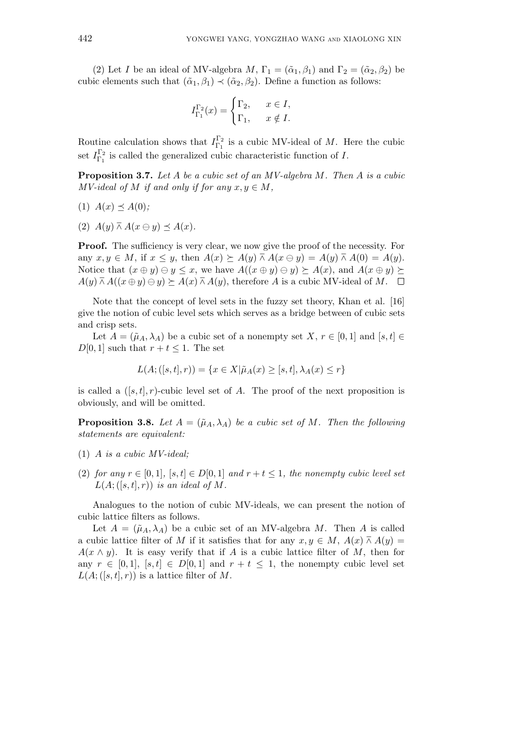(2) Let *I* be an ideal of MV-algebra *M*,  $\Gamma_1 = (\tilde{\alpha}_1, \beta_1)$  and  $\Gamma_2 = (\tilde{\alpha}_2, \beta_2)$  be cubic elements such that  $(\tilde{\alpha}_1, \beta_1) \prec (\tilde{\alpha}_2, \beta_2)$ . Define a function as follows:

$$
I_{\Gamma_1}^{\Gamma_2}(x) = \begin{cases} \Gamma_2, & x \in I, \\ \Gamma_1, & x \notin I. \end{cases}
$$

Routine calculation shows that  $I_{\Gamma_1}^{\Gamma_2}$  $\frac{1}{\Gamma_1}$  is a cubic MV-ideal of M. Here the cubic set  $I_{\Gamma_1}^{\Gamma_2}$  $\frac{1}{\Gamma_1}$  is called the generalized cubic characteristic function of *I*.

**Proposition 3.7.** *Let A be a cubic set of an MV-algebra M. Then A is a cubic MV-ideal of M if and only if for any*  $x, y \in M$ *,* 

$$
(1) A(x) \preceq A(0);
$$

 $(A(y) \overline{\wedge} A(x \ominus y) \preceq A(x)$ .

**Proof.** The sufficiency is very clear, we now give the proof of the necessity. For any  $x, y \in M$ , if  $x \leq y$ , then  $A(x) \succeq A(y) \bar{\wedge} A(x \ominus y) = A(y) \bar{\wedge} A(0) = A(y)$ . Notice that  $(x \oplus y) \ominus y \leq x$ , we have  $A((x \oplus y) \ominus y) \succeq A(x)$ , and  $A(x \oplus y) \succeq$  $A(y) \bar{A} A((x \oplus y) \ominus y) \succeq A(x) \bar{A} A(y)$ , therefore *A* is a cubic MV-ideal of *M*.  $\Box$ 

Note that the concept of level sets in the fuzzy set theory, Khan et al. [16] give the notion of cubic level sets which serves as a bridge between of cubic sets and crisp sets.

Let  $A = (\tilde{\mu}_A, \lambda_A)$  be a cubic set of a nonempty set  $X, r \in [0, 1]$  and  $[s, t] \in$  $D[0, 1]$  such that  $r + t \leq 1$ . The set

$$
L(A; ([s, t], r)) = \{ x \in X | \tilde{\mu}_A(x) \geq [s, t], \lambda_A(x) \leq r \}
$$

is called a  $([s,t], r)$ -cubic level set of *A*. The proof of the next proposition is obviously, and will be omitted.

**Proposition 3.8.** Let  $A = (\tilde{\mu}_A, \lambda_A)$  be a cubic set of M. Then the following *statements are equivalent:*

- (1) *A is a cubic MV-ideal;*
- (2) *for any*  $r \in [0,1]$ *,*  $[s,t] \in D[0,1]$  *and*  $r+t \leq 1$ *, the nonempty cubic level set*  $L(A; ([s,t], r))$  *is an ideal of*  $M$ *.*

Analogues to the notion of cubic MV-ideals, we can present the notion of cubic lattice filters as follows.

Let  $A = (\tilde{\mu}_A, \lambda_A)$  be a cubic set of an MV-algebra M. Then A is called a cubic lattice filter of *M* if it satisfies that for any  $x, y \in M$ ,  $A(x) \wedge A(y) =$  $A(x \wedge y)$ . It is easy verify that if *A* is a cubic lattice filter of *M*, then for any  $r \in [0,1], [s,t] \in D[0,1]$  and  $r+t \leq 1$ , the nonempty cubic level set  $L(A; ([s,t], r))$  is a lattice filter of M.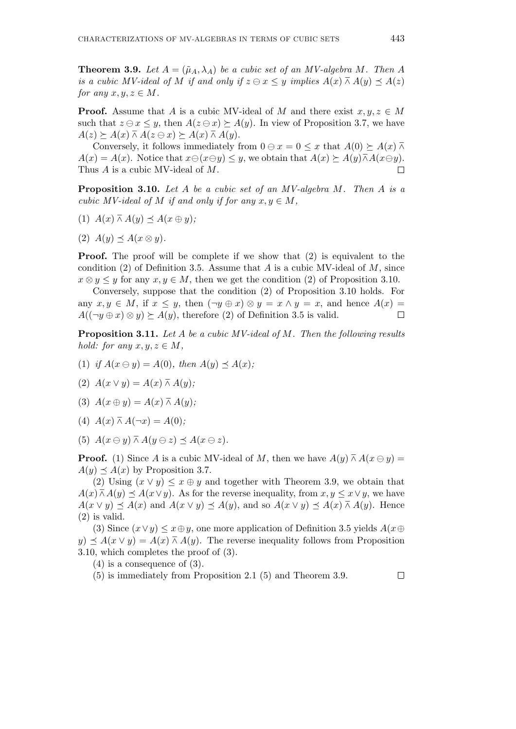**Theorem 3.9.** *Let*  $A = (\tilde{\mu}_A, \lambda_A)$  *be a cubic set of an MV-algebra M. Then* A *is a cubic MV-ideal of M if and only if*  $z \ominus x \leq y$  *implies*  $A(x) \wedge A(y) \preceq A(z)$ *for any*  $x, y, z \in M$ .

**Proof.** Assume that *A* is a cubic MV-ideal of *M* and there exist  $x, y, z \in M$ such that  $z \ominus x \leq y$ , then  $A(z \ominus x) \succeq A(y)$ . In view of Proposition 3.7, we have  $A(z) \succeq A(x) \bar{w} A(z \ominus x) \succeq A(x) \bar{w} A(y).$ 

Conversely, it follows immediately from  $0 \ominus x = 0 \leq x$  that  $A(0) \succeq A(x) \overline{\wedge}$  $A(x) = A(x)$ . Notice that  $x \ominus (x \ominus y) \leq y$ , we obtain that  $A(x) \succeq A(y) \overline{\wedge} A(x \ominus y)$ . Thus *A* is a cubic MV-ideal of *M*.  $\Box$ 

**Proposition 3.10.** *Let A be a cubic set of an MV-algebra M. Then A is a cubic MV-ideal of M if and only if for any*  $x, y \in M$ ,

- $(A)$   $A(x) \bar{A}(y) \preceq A(x \oplus y);$
- $(2)$   $A(y) \prec A(x \otimes y)$ .

**Proof.** The proof will be complete if we show that (2) is equivalent to the condition (2) of Definition 3.5. Assume that *A* is a cubic MV-ideal of *M*, since  $x \otimes y \leq y$  for any  $x, y \in M$ , then we get the condition (2) of Proposition 3.10.

Conversely, suppose that the condition (2) of Proposition 3.10 holds. For any  $x, y \in M$ , if  $x \leq y$ , then  $(\neg y \oplus x) \otimes y = x \wedge y = x$ , and hence  $A(x) =$  $A((\neg y \oplus x) \otimes y) \succeq A(y)$ , therefore (2) of Definition 3.5 is valid.  $\Box$ 

**Proposition 3.11.** *Let A be a cubic MV-ideal of M. Then the following results hold:* for any  $x, y, z \in M$ ,

- (1) *if*  $A(x \ominus y) = A(0)$ *, then*  $A(y) \preceq A(x)$ *;*
- $(A(x \vee y)) = A(x) \wedge A(y);$
- (3)  $A(x \oplus y) = A(x) \wedge A(y);$
- (4)  $A(x) \bar{A}(-x) = A(0);$
- (5)  $A(x \ominus y) \overline{\wedge} A(y \ominus z) \preceq A(x \ominus z)$ .

**Proof.** (1) Since *A* is a cubic MV-ideal of *M*, then we have  $A(y) \bar{A} A(x \ominus y) =$  $A(y) \preceq A(x)$  by Proposition 3.7.

(2) Using  $(x \vee y) \leq x \oplus y$  and together with Theorem 3.9, we obtain that  $A(x) \bar{A}(y) \preceq A(x \vee y)$ . As for the reverse inequality, from  $x, y \leq x \vee y$ , we have  $A(x \vee y) \preceq A(x)$  and  $A(x \vee y) \preceq A(y)$ , and so  $A(x \vee y) \preceq A(x) \wedge A(y)$ . Hence (2) is valid.

(3) Since  $(x \lor y) \leq x \oplus y$ , one more application of Definition 3.5 yields  $A(x \oplus y)$  $y \to A(x \vee y) = A(x) \bar{A}(y)$ . The reverse inequality follows from Proposition 3.10, which completes the proof of (3).

(4) is a consequence of (3).

(5) is immediately from Proposition 2.1 (5) and Theorem 3.9.

 $\Box$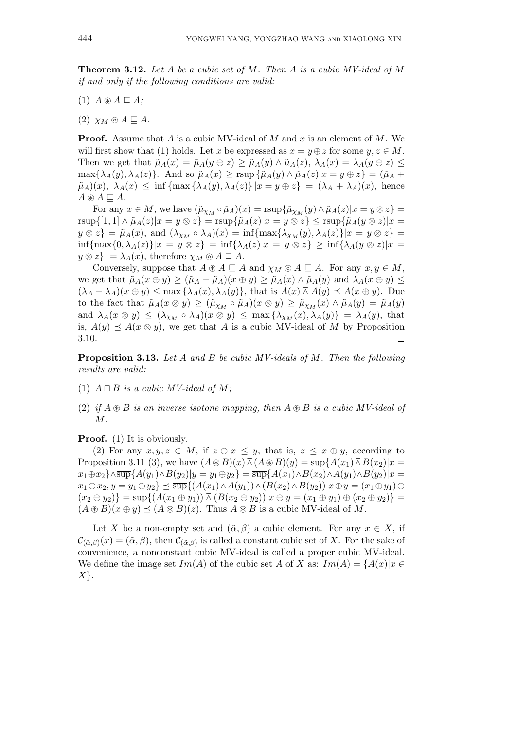**Theorem 3.12.** *Let A be a cubic set of M. Then A is a cubic MV-ideal of M if and only if the following conditions are valid:*

- $(1)$   $A \circledast A \sqsubseteq A$ ;
- $(2)$   $\chi_M \odot A \sqsubseteq A$ .

**Proof.** Assume that *A* is a cubic MV-ideal of *M* and *x* is an element of *M*. We will first show that (1) holds. Let *x* be expressed as  $x = y \oplus z$  for some  $y, z \in M$ . Then we get that  $\tilde{\mu}_A(x) = \tilde{\mu}_A(y \oplus z) \ge \tilde{\mu}_A(y) \wedge \tilde{\mu}_A(z), \lambda_A(x) = \lambda_A(y \oplus z) \le$  $\max\{\lambda_A(y),\lambda_A(z)\}\$ . And so  $\tilde{\mu}_A(x) \geq \text{rsup }\{\tilde{\mu}_A(y) \wedge \tilde{\mu}_A(z)|x=y \oplus z\} = (\tilde{\mu}_A +$  $(\tilde{\mu}_A)(x)$ ,  $\lambda_A(x) \leq \inf \{ \max \{ \lambda_A(y), \lambda_A(z) \} | x = y \oplus z \} = (\lambda_A + \lambda_A)(x)$ , hence  $A \circledast A \sqsubseteq A$ .

For any  $x \in M$ , we have  $(\tilde{\mu}_{\chi_M} \circ \tilde{\mu}_A)(x) = \text{rsup}\{\tilde{\mu}_{\chi_M}(y) \wedge \tilde{\mu}_A(z)|x = y \otimes z\} =$  $\text{rsup}\{[1,1]\wedge \tilde{\mu}_A(z)|x=y\otimes z\}=\text{rsup}\{\tilde{\mu}_A(z)|x=y\otimes z\}\leq \text{rsup}\{\tilde{\mu}_A(y\otimes z)|x=$  $y \otimes z$ } =  $\tilde{\mu}_A(x)$ , and  $(\lambda_{\chi_M} \circ \lambda_A)(x) = \inf \{ \max \{ \lambda_{\chi_M}(y), \lambda_A(z) \} | x = y \otimes z \}$  $\inf{\max\{0, \lambda_A(z)\}|x = y \otimes z} = \inf{\lambda_A(z)|x = y \otimes z} \ge \inf{\lambda_A(y \otimes z)|x =$  $y \otimes z$  =  $\lambda_A(x)$ , therefore  $\chi_M \otimes A \sqsubseteq A$ .

Conversely, suppose that  $A \otimes A \subseteq A$  and  $\chi_M \otimes A \subseteq A$ . For any  $x, y \in M$ , we get that  $\tilde{\mu}_A(x \oplus y) \geq (\tilde{\mu}_A + \tilde{\mu}_A)(x \oplus y) \geq \tilde{\mu}_A(x) \wedge \tilde{\mu}_A(y)$  and  $\lambda_A(x \oplus y) \leq$  $(\lambda_A + \lambda_A)(x \oplus y) \le \max{\lambda_A(x), \lambda_A(y)}$ , that is  $A(x) \wedge A(y) \preceq A(x \oplus y)$ . Due to the fact that  $\tilde{\mu}_A(x \otimes y) \geq (\tilde{\mu}_{\chi_M} \circ \tilde{\mu}_A)(x \otimes y) \geq \tilde{\mu}_{\chi_M}(x) \wedge \tilde{\mu}_A(y) = \tilde{\mu}_A(y)$ and  $\lambda_A(x \otimes y) \leq (\lambda_{\chi_M} \circ \lambda_A)(x \otimes y) \leq \max{\lambda_{\chi_M}(x), \lambda_A(y)} = \lambda_A(y)$ , that is,  $A(y) \preceq A(x \otimes y)$ , we get that *A* is a cubic MV-ideal of *M* by Proposition 3.10.  $\Box$ 

**Proposition 3.13.** *Let A and B be cubic MV-ideals of M. Then the following results are valid:*

- (1)  $A \sqcap B$  *is a cubic MV-ideal of M*;
- (2) *if*  $A \otimes B$  *is an inverse isotone mapping, then*  $A \otimes B$  *is a cubic MV-ideal of M.*

### **Proof.** (1) It is obviously.

(2) For any  $x, y, z \in M$ , if  $z \in x \leq y$ , that is,  $z \leq x \oplus y$ , according to Proposition 3.11 (3), we have  $(A \otimes B)(x) \overline{\wedge} (A \otimes B)(y) = \overline{\sup} {A(x_1) \overline{\wedge} B(x_2)}|x =$  $x_1 \oplus x_2$ ,  $\overline{\wedge}$   $\overline{\sup}$   $\{A(y_1) \overline{\wedge} B(y_2)|y = y_1 \oplus y_2\} = \overline{\sup}$   $\{A(x_1) \overline{\wedge} B(x_2) \overline{\wedge} A(y_1) \overline{\wedge} B(y_2)|x = y_1 \oplus y_2\}$  $x_1 \oplus x_2, y = y_1 \oplus y_2$   $\leq \overline{\sup} \{ (A(x_1) \overline{\wedge} A(y_1)) \overline{\wedge} (B(x_2) \overline{\wedge} B(y_2)) | x \oplus y = (x_1 \oplus y_1) \oplus y \}$  $(x_2 \oplus y_2) = \overline{\sup} \{ (A(x_1 \oplus y_1)) \overline{\wedge} (B(x_2 \oplus y_2)) | x \oplus y = (x_1 \oplus y_1) \oplus (x_2 \oplus y_2) \} =$  $(A \otimes B)(x \oplus y) \preceq (A \otimes B)(z)$ . Thus  $A \otimes B$  is a cubic MV-ideal of M.  $\Box$ 

Let *X* be a non-empty set and  $(\tilde{\alpha}, \beta)$  a cubic element. For any  $x \in X$ , if  $\mathcal{C}_{(\tilde{\alpha},\beta)}(x) = (\tilde{\alpha},\beta)$ , then  $\mathcal{C}_{(\tilde{\alpha},\beta)}$  is called a constant cubic set of *X*. For the sake of convenience, a nonconstant cubic MV-ideal is called a proper cubic MV-ideal. We define the image set  $Im(A)$  of the cubic set *A* of *X* as:  $Im(A) = \{A(x)|x \in$ *X}*.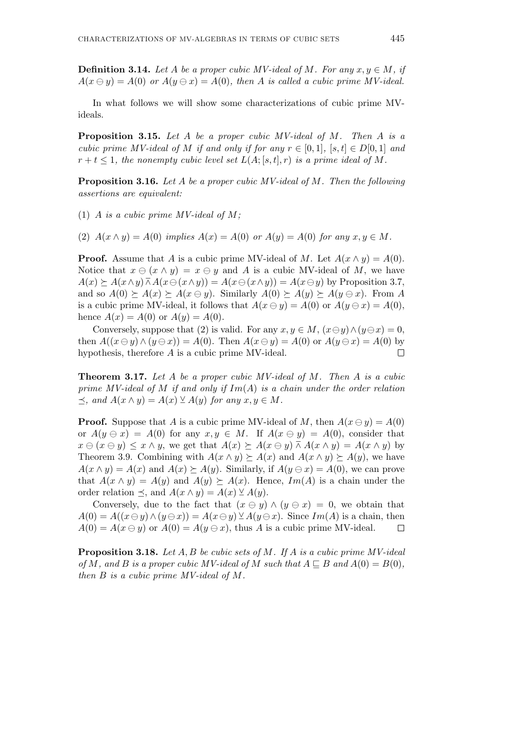**Definition 3.14.** *Let A be a proper cubic MV-ideal of M. For any*  $x, y \in M$ , if  $A(x \ominus y) = A(0)$  *or*  $A(y \ominus x) = A(0)$ *, then A is called a cubic prime MV-ideal.* 

In what follows we will show some characterizations of cubic prime MVideals.

**Proposition 3.15.** *Let A be a proper cubic MV-ideal of M. Then A is a cubic prime MV-ideal of M if and only if for any*  $r \in [0,1]$ *,*  $[s,t] \in D[0,1]$  *and*  $r + t \leq 1$ , the nonempty cubic level set  $L(A; [s, t], r)$  is a prime ideal of M.

**Proposition 3.16.** *Let A be a proper cubic MV-ideal of M. Then the following assertions are equivalent:*

- (1) *A is a cubic prime MV-ideal of M;*
- (2)  $A(x \wedge y) = A(0)$  *implies*  $A(x) = A(0)$  *or*  $A(y) = A(0)$  *for any*  $x, y \in M$ .

**Proof.** Assume that *A* is a cubic prime MV-ideal of *M*. Let  $A(x \wedge y) = A(0)$ . Notice that  $x \ominus (x \wedge y) = x \ominus y$  and A is a cubic MV-ideal of M, we have  $A(x) \succeq A(x \wedge y) \bar{\wedge} A(x \ominus (x \wedge y)) = A(x \ominus (x \wedge y)) = A(x \ominus y)$  by Proposition 3.7, and so  $A(0) \succeq A(x) \succeq A(x \ominus y)$ . Similarly  $A(0) \succeq A(y) \succeq A(y \ominus x)$ . From A is a cubic prime MV-ideal, it follows that  $A(x \ominus y) = A(0)$  or  $A(y \ominus x) = A(0)$ , hence  $A(x) = A(0)$  or  $A(y) = A(0)$ .

Conversely, suppose that (2) is valid. For any  $x, y \in M$ ,  $(x \ominus y) \wedge (y \ominus x) = 0$ , then  $A((x \ominus y) \wedge (y \ominus x)) = A(0)$ . Then  $A(x \ominus y) = A(0)$  or  $A(y \ominus x) = A(0)$  by hypothesis, therefore *A* is a cubic prime MV-ideal.  $\Box$ 

**Theorem 3.17.** *Let A be a proper cubic MV-ideal of M. Then A is a cubic prime MV-ideal of M if and only if Im*(*A*) *is a chain under the order relation*  $\prec$ *, and*  $A(x \land y) = A(x) \lor A(y)$  *for any x, y* ∈ *M.* 

**Proof.** Suppose that *A* is a cubic prime MV-ideal of *M*, then  $A(x \ominus y) = A(0)$ or  $A(y \ominus x) = A(0)$  for any  $x, y \in M$ . If  $A(x \ominus y) = A(0)$ , consider that  $x \ominus (x \ominus y) \leq x \wedge y$ , we get that  $A(x) \succeq A(x \ominus y) \overline{\wedge} A(x \wedge y) = A(x \wedge y)$  by Theorem 3.9. Combining with  $A(x \wedge y) \succeq A(x)$  and  $A(x \wedge y) \succeq A(y)$ , we have  $A(x \wedge y) = A(x)$  and  $A(x) \ge A(y)$ . Similarly, if  $A(y \ominus x) = A(0)$ , we can prove that  $A(x \wedge y) = A(y)$  and  $A(y) \succeq A(x)$ . Hence,  $Im(A)$  is a chain under the order relation  $\preceq$ , and  $A(x \wedge y) = A(x) \veeeq A(y)$ .

Conversely, due to the fact that  $(x \ominus y) \wedge (y \ominus x) = 0$ , we obtain that  $A(0) = A((x \ominus y) \wedge (y \ominus x)) = A(x \ominus y) \veeeq A(y \ominus x)$ . Since  $Im(A)$  is a chain, then  $A(0) = A(x \ominus y)$  or  $A(0) = A(y \ominus x)$ , thus *A* is a cubic prime MV-ideal.  $\Box$ 

**Proposition 3.18.** *Let A, B be cubic sets of M. If A is a cubic prime MV-ideal of*  $M$ *, and*  $B$  *is a proper cubic MV-ideal of*  $M$  *such that*  $A \sqsubseteq B$  *and*  $A(0) = B(0)$ *, then B is a cubic prime MV-ideal of M.*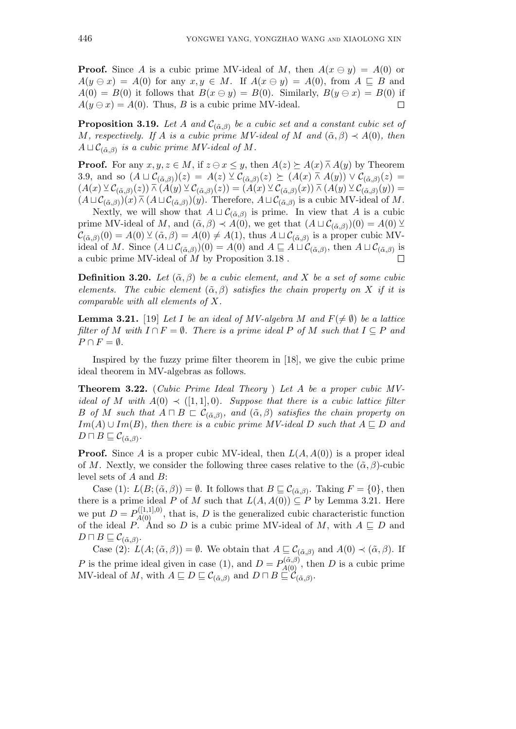**Proof.** Since *A* is a cubic prime MV-ideal of *M*, then  $A(x \ominus y) = A(0)$  or  $A(y \oplus x) = A(0)$  for any  $x, y \in M$ . If  $A(x \oplus y) = A(0)$ , from  $A \sqsubseteq B$  and  $A(0) = B(0)$  it follows that  $B(x \ominus y) = B(0)$ . Similarly,  $B(y \ominus x) = B(0)$  if  $A(y \ominus x) = A(0)$ . Thus, *B* is a cubic prime MV-ideal.  $\Box$ 

**Proposition 3.19.** *Let A and*  $C_{(\tilde{\alpha},\beta)}$  *be a cubic set and a constant cubic set of M, respectively. If A is a cubic prime MV-ideal of M and*  $(\tilde{\alpha}, \beta) \prec A(0)$ *, then*  $A \sqcup \mathcal{C}_{(\tilde{\alpha},\beta)}$  *is a cubic prime MV-ideal of M.* 

**Proof.** For any  $x, y, z \in M$ , if  $z \ominus x \leq y$ , then  $A(z) \succeq A(x) \wedge A(y)$  by Theorem 3.9, and so  $(A \sqcup C_{(\tilde{\alpha},\beta)})(z) = A(z) \vee C_{(\tilde{\alpha},\beta)}(z) \succeq (A(x) \wedge A(y)) \vee C_{(\tilde{\alpha},\beta)}(z) =$  $(A(x) \vee C_{(\tilde{\alpha},\beta)}(z)) \wedge (A(y) \vee C_{(\tilde{\alpha},\beta)}(z)) = (A(x) \vee C_{(\tilde{\alpha},\beta)}(x)) \wedge (A(y) \vee C_{(\tilde{\alpha},\beta)}(y)) =$  $(A \sqcup C_{(\tilde{\alpha},\beta)})(x) \bar{w} (A \sqcup C_{(\tilde{\alpha},\beta)})(y)$ . Therefore,  $A \sqcup C_{(\tilde{\alpha},\beta)}$  is a cubic MV-ideal of M.

Nextly, we will show that  $A \sqcup C_{(\tilde{\alpha},\beta)}$  is prime. In view that *A* is a cubic prime MV-ideal of *M*, and  $(\tilde{\alpha}, \beta) \prec A(0)$ , we get that  $(A \sqcup C_{(\tilde{\alpha}, \beta)})(0) = A(0) \vee C_{(\tilde{\alpha}, \beta)}$  $\mathcal{C}_{(\tilde{\alpha},\beta)}(0) = A(0) \vee (\tilde{\alpha},\beta) = A(0) \neq A(1)$ , thus  $A \sqcup \mathcal{C}_{(\tilde{\alpha},\beta)}$  is a proper cubic MVideal of *M*. Since  $(A \sqcup C_{(\tilde{\alpha},\beta)})(0) = A(0)$  and  $A \sqsubseteq A \sqcup C_{(\tilde{\alpha},\beta)}$ , then  $A \sqcup C_{(\tilde{\alpha},\beta)}$  is a cubic prime MV-ideal of *M* by Proposition 3.18 .  $\Box$ 

**Definition 3.20.** *Let*  $(\tilde{\alpha}, \beta)$  *be a cubic element, and X be a set of some cubic elements. The cubic element*  $(\tilde{\alpha}, \beta)$  *satisfies the chain property on X if it is comparable with all elements of X.*

**Lemma 3.21.** [19] Let *I* be an ideal of MV-algebra *M* and  $F(\neq \emptyset)$  be a lattice *filter of M* with  $I \cap F = \emptyset$ . There is a prime ideal P of M such that  $I \subseteq P$  and  $P \cap F = \emptyset$ *.* 

Inspired by the fuzzy prime filter theorem in [18], we give the cubic prime ideal theorem in MV-algebras as follows.

**Theorem 3.22.** (*Cubic Prime Ideal Theory* ) *Let A be a proper cubic MVideal of M* with  $A(0) \prec (1, 1, 0)$ *. Suppose that there is a cubic lattice filter B of M such that*  $A \sqcap B \sqsubset \mathcal{C}_{(\tilde{\alpha},\beta)}$ , and  $(\tilde{\alpha},\beta)$  *satisfies the chain property on Im*(*A*)  $\cup$  *Im*(*B*)*, then there is a cubic prime MV-ideal D such that*  $A \nsubseteq D$  *and*  $D \sqcap B \sqsubseteq \mathcal{C}_{(\tilde{\alpha},\beta)}$ .

**Proof.** Since *A* is a proper cubic MV-ideal, then  $L(A, A(0))$  is a proper ideal of *M*. Nextly, we consider the following three cases relative to the  $(\tilde{\alpha}, \beta)$ -cubic level sets of *A* and *B*:

Case (1):  $L(B; (\tilde{\alpha}, \beta)) = \emptyset$ . It follows that  $B \sqsubseteq C_{(\tilde{\alpha}, \beta)}$ . Taking  $F = \{0\}$ , then there is a prime ideal *P* of *M* such that  $L(A, A(0)) \subseteq P$  by Lemma 3.21. Here we put  $D = P_{A(0)}^{([1,1],0)}$ , that is, *D* is the generalized cubic characteristic function of the ideal *P*. And so *D* is a cubic prime MV-ideal of *M*, with  $A \subseteq D$  and  $D \sqcap B \sqsubseteq \mathcal{C}_{(\tilde{\alpha},\beta)}$ .

Case (2):  $L(A; (\tilde{\alpha}, \beta)) = \emptyset$ . We obtain that  $A \sqsubseteq C_{(\tilde{\alpha}, \beta)}$  and  $A(0) \prec (\tilde{\alpha}, \beta)$ . If *P* is the prime ideal given in case (1), and  $D = P_{A(0)}^{(\tilde{\alpha}, \beta)}$ , then *D* is a cubic prime  $MV$ -ideal of *M*, with  $A \sqsubseteq D \sqsubseteq \mathcal{C}_{(\tilde{\alpha},\beta)}$  and  $D \sqcap B \sqsubseteq \mathcal{C}_{(\tilde{\alpha},\beta)}$ .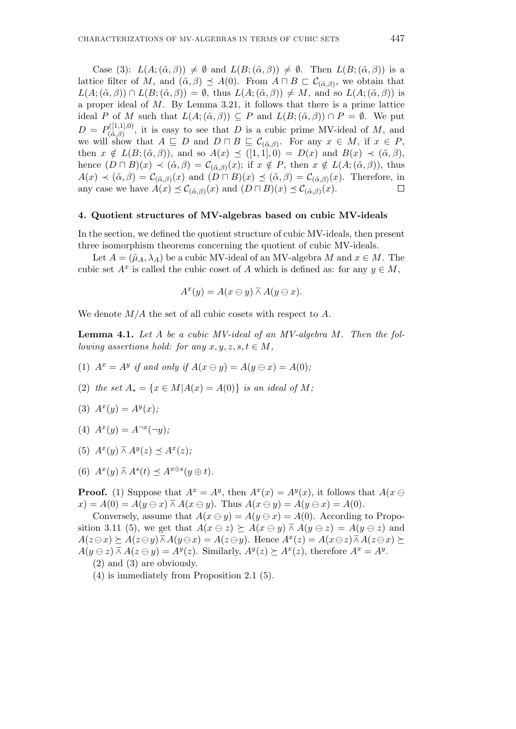Case (3):  $L(A; (\tilde{\alpha}, \beta)) \neq \emptyset$  and  $L(B; (\tilde{\alpha}, \beta)) \neq \emptyset$ . Then  $L(B; (\tilde{\alpha}, \beta))$  is a lattice filter of *M*, and  $(\tilde{\alpha}, \beta) \preceq A(0)$ . From  $A \sqcap B \sqsubset \mathcal{C}_{(\tilde{\alpha}, \beta)}$ , we obtain that  $L(A; (\tilde{\alpha}, \beta)) \cap L(B; (\tilde{\alpha}, \beta)) = \emptyset$ , thus  $L(A; (\tilde{\alpha}, \beta)) \neq M$ , and so  $L(A; (\tilde{\alpha}, \beta))$  is a proper ideal of *M*. By Lemma 3.21, it follows that there is a prime lattice ideal *P* of *M* such that  $L(A; (\tilde{\alpha}, \beta)) \subseteq P$  and  $L(B; (\tilde{\alpha}, \beta)) \cap P = \emptyset$ . We put  $D = P_{(\tilde{\alpha}, \beta)}^{([1,1],0)}$  $(\alpha_{\alpha,\beta}^{(1,1),0})$ , it is easy to see that *D* is a cubic prime MV-ideal of *M*, and we will show that  $A \subseteq D$  and  $D \cap B \subseteq C_{(\tilde{\alpha},\beta)}$ . For any  $x \in M$ , if  $x \in P$ , then  $x \notin L(B; (\tilde{\alpha}, \beta))$ , and so  $A(x) \preceq ([1, 1], 0) = D(x)$  and  $B(x) \prec (\tilde{\alpha}, \beta)$ , hence  $(D \sqcap B)(x) \prec (\tilde{\alpha}, \beta) = C_{(\tilde{\alpha}, \beta)}(x)$ ; if  $x \notin P$ , then  $x \notin L(A; (\tilde{\alpha}, \beta))$ , thus  $A(x) \prec (\tilde{\alpha}, \beta) = C_{(\tilde{\alpha}, \beta)}(x)$  and  $(D \sqcap B)(x) \preceq (\tilde{\alpha}, \beta) = C_{(\tilde{\alpha}, \beta)}(x)$ . Therefore, in any case we have  $A(x) \preceq C_{(\tilde{\alpha},\beta)}(x)$  and  $(D \sqcap B)(x) \preceq C_{(\tilde{\alpha},\beta)}(x)$ .  $\Box$ 

#### **4. Quotient structures of MV-algebras based on cubic MV-ideals**

In the section, we defined the quotient structure of cubic MV-ideals, then present three isomorphism theorems concerning the quotient of cubic MV-ideals.

Let  $A = (\tilde{\mu}_A, \lambda_A)$  be a cubic MV-ideal of an MV-algebra *M* and  $x \in M$ . The cubic set  $A^x$  is called the cubic coset of *A* which is defined as: for any  $y \in M$ ,

$$
A^x(y) = A(x \ominus y) \barwedge A(y \ominus x).
$$

We denote *M/A* the set of all cubic cosets with respect to *A*.

**Lemma 4.1.** *Let A be a cubic MV-ideal of an MV-algebra M. Then the following assertions hold: for any*  $x, y, z, s, t \in M$ ,

- (1)  $A^x = A^y$  if and only if  $A(x \ominus y) = A(y \ominus x) = A(0)$ ;
- (2) *the set*  $A_* = \{x \in M | A(x) = A(0)\}$  *is an ideal of M*;

$$
(3) Ax(y) = Ay(x);
$$

- $(A)$   $A^x(y) = A^{-x}(-y)$ ;
- (5)  $A^x(y) \bar{w} A^y(z) \preceq A^x(z)$ ;
- (6)  $A^x(y) \overline{\wedge} A^s(t) \preceq A^{x \oplus s}(y \oplus t).$

**Proof.** (1) Suppose that  $A^x = A^y$ , then  $A^x(x) = A^y(x)$ , it follows that  $A(x \ominus$  $x) = A(0) = A(y \oplus x) \wedge A(x \oplus y)$ . Thus  $A(x \oplus y) = A(y \oplus x) = A(0)$ .

Conversely, assume that  $A(x \ominus y) = A(y \ominus x) = A(0)$ . According to Proposition 3.11 (5), we get that  $A(x \oplus z) \succeq A(x \oplus y) \wedge \overline{A}(y \oplus z) = A(y \oplus z)$  and  $A(z \ominus x) \succeq A(z \ominus y) \overline{\wedge} A(y \ominus x) = A(z \ominus y)$ . Hence  $A^x(z) = A(x \ominus z) \overline{\wedge} A(z \ominus x) \succeq A(z \ominus y)$  $A(y \ominus z) \bar{\wedge} A(z \ominus y) = A^y(z)$ . Similarly,  $A^y(z) \succeq A^x(z)$ , therefore  $A^x = A^y$ .

(4) is immediately from Proposition 2.1 (5).

<sup>(2)</sup> and (3) are obviously.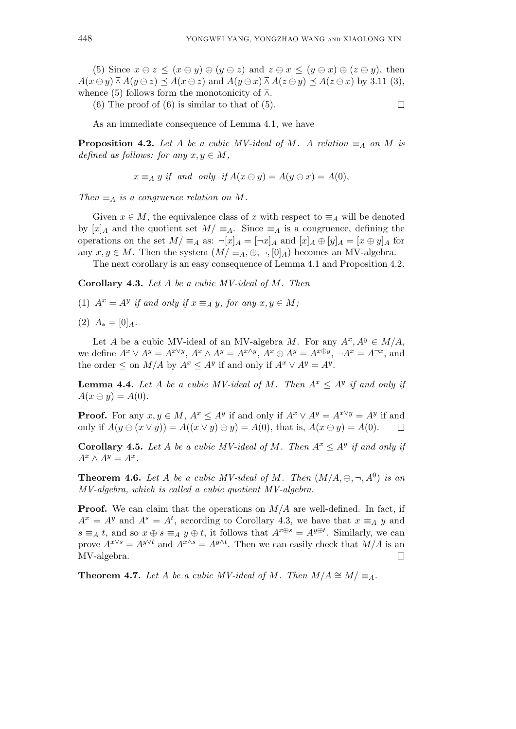(5) Since  $x \ominus z \leq (x \ominus y) \oplus (y \ominus z)$  and  $z \ominus x \leq (y \ominus x) \oplus (z \ominus y)$ , then  $A(x \ominus y) \barwedge A(y \ominus z) \preceq A(x \ominus z)$  and  $A(y \ominus x) \barwedge A(z \ominus y) \preceq A(z \ominus x)$  by 3.11 (3), whence (5) follows form the monotonicity of  $\overline{\wedge}$ .

 $(6)$  The proof of  $(6)$  is similar to that of  $(5)$ .

 $\Box$ 

As an immediate consequence of Lemma 4.1, we have

**Proposition 4.2.** *Let A be a cubic MV-ideal of M. A relation*  $\equiv_A$  *on M is defined as follows: for any*  $x, y \in M$ ,

$$
x \equiv_A y \text{ if and only if } A(x \ominus y) = A(y \ominus x) = A(0),
$$

*Then*  $\equiv$ <sub>*A*</sub> *is a congruence relation on M.* 

Given  $x \in M$ , the equivalence class of x with respect to  $\equiv_A$  will be denoted by  $[x]_A$  and the quotient set  $M/\equiv_A$ . Since  $\equiv_A$  is a congruence, defining the operations on the set  $M/\equiv_A$  as:  $\neg [x]_A = [\neg x]_A$  and  $[x]_A \oplus [y]_A = [x \oplus y]_A$  for any  $x, y \in M$ . Then the system  $(M/\equiv_A, \oplus, \neg, [0]_A)$  becomes an MV-algebra.

The next corollary is an easy consequence of Lemma 4.1 and Proposition 4.2.

**Corollary 4.3.** *Let A be a cubic MV-ideal of M. Then*

(1)  $A^x = A^y$  if and only if  $x \equiv_A y$ , for any  $x, y \in M$ ;

 $(2)$   $A_* = [0]_A$ .

Let *A* be a cubic MV-ideal of an MV-algebra *M*. For any  $A^x, A^y \in M/A$ , we define  $A^x \vee A^y = A^{x \vee y}$ ,  $A^x \wedge A^y = A^{x \wedge y}$ ,  $A^x \oplus A^y = A^{x \oplus y}$ ,  $\neg A^x = A^{\neg x}$ , and the order  $\leq$  on  $M/A$  by  $A^x \leq A^y$  if and only if  $A^x \vee A^y = A^y$ .

**Lemma 4.4.** Let *A* be a cubic MV-ideal of *M*. Then  $A^x \le A^y$  if and only if  $A(x \ominus y) = A(0)$ .

**Proof.** For any  $x, y \in M$ ,  $A^x \le A^y$  if and only if  $A^x \vee A^y = A^{x \vee y} = A^y$  if and only if  $A(y \oplus (x \vee y)) = A((x \vee y) \oplus y) = A(0)$ , that is,  $A(x \oplus y) = A(0)$ .  $\Box$ 

**Corollary 4.5.** Let *A* be a cubic MV-ideal of *M*. Then  $A^x \le A^y$  if and only if  $A^x \wedge A^y = A^x.$ 

**Theorem 4.6.** Let A be a cubic MV-ideal of M. Then  $(M/A, \oplus, \neg, A^0)$  is an *MV-algebra, which is called a cubic quotient MV-algebra.*

**Proof.** We can claim that the operations on  $M/A$  are well-defined. In fact, if  $A^x = A^y$  and  $A^s = A^t$ , according to Corollary 4.3, we have that  $x \equiv_A y$  and  $s \equiv_A t$ , and so  $x \oplus s \equiv_A y \oplus t$ , it follows that  $A^{x \oplus s} = A^{y \oplus t}$ . Similarly, we can prove  $A^{x\vee s} = A^{y\vee t}$  and  $A^{x\wedge s} = A^{y\wedge t}$ . Then we can easily check that  $M/A$  is an MV-algebra.  $\Box$ 

**Theorem 4.7.** *Let A be a cubic MV-ideal of M. Then*  $M/A \cong M/\equiv_{A}$ *.*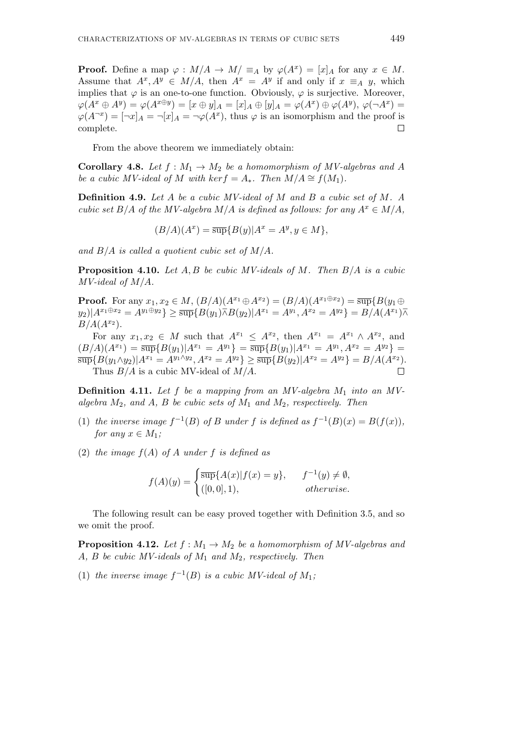**Proof.** Define a map  $\varphi : M/A \to M/z$   $\equiv_A$  by  $\varphi(A^x) = [x]_A$  for any  $x \in M$ . Assume that  $A^x, A^y \in M/A$ , then  $A^x = A^y$  if and only if  $x \equiv_A y$ , which implies that  $\varphi$  is an one-to-one function. Obviously,  $\varphi$  is surjective. Moreover,  $\varphi(A^x \oplus A^y) = \varphi(A^{x \oplus y}) = [x \oplus y]_A = [x]_A \oplus [y]_A = \varphi(A^x) \oplus \varphi(A^y), \varphi(\neg A^x) =$  $\varphi(A^{-x}) = [\neg x]_A = \neg[x]_A = \neg\varphi(A^x)$ , thus  $\varphi$  is an isomorphism and the proof is complete.  $\Box$ 

From the above theorem we immediately obtain:

**Corollary 4.8.** *Let*  $f : M_1 \to M_2$  *be a homomorphism of MV-algebras and A be a cubic MV-ideal of M with*  $\ker f = A_*$ *. Then*  $M/A \cong f(M_1)$ *.* 

**Definition 4.9.** *Let A be a cubic MV-ideal of M and B a cubic set of M. A cubic set*  $B/A$  *of the MV-algebra*  $M/A$  *is defined as follows: for any*  $A^x \in M/A$ ,

$$
(B/A)(A^x) = \overline{\sup} \{B(y)|A^x = A^y, y \in M\},\
$$

*and B/A is called a quotient cubic set of M/A.*

**Proposition 4.10.** *Let A, B be cubic MV-ideals of M. Then B/A is a cubic MV-ideal of M/A.*

**Proof.** For any  $x_1, x_2 \in M$ ,  $(B/A)(A^{x_1} \oplus A^{x_2}) = (B/A)(A^{x_1} \oplus x_2) = \overline{\sup} \{B(y_1 \oplus A(y_2))\}$  $(y_2)|A^{x_1 \oplus x_2} = A^{y_1 \oplus y_2}\} \geq \overline{\sup} \{B(y_1) \overline{\wedge} B(y_2)|A^{x_1} = A^{y_1}, A^{x_2} = A^{y_2}\} = B/A(A^{x_1})\overline{\wedge}$  $B/A(A^{x_2}).$ 

For any  $x_1, x_2 \in M$  such that  $A^{x_1} \leq A^{x_2}$ , then  $A^{x_1} = A^{x_1} \wedge A^{x_2}$ , and  $(B/A)(A^{x_1}) = \overline{\sup} {B(y_1)|A^{x_1} = A^{y_1}} = \overline{\sup} {B(y_1)|A^{x_1} = A^{y_1}, A^{x_2} = A^{y_2}} =$  $\overline{\sup} {B(y_1 \wedge y_2)} |A^{x_1} = A^{y_1 \wedge y_2}, A^{x_2} = A^{y_2} \} \ge \overline{\sup} {B(y_2)} |A^{x_2} = A^{y_2} \} = B/A(A^{x_2}).$ Thus *B/A* is a cubic MV-ideal of *M/A*.  $\Box$ 

**Definition 4.11.** *Let f be a mapping from an MV-algebra M*<sup>1</sup> *into an MValgebra M*2*, and A, B be cubic sets of M*<sup>1</sup> *and M*2*, respectively. Then*

- (1) *the inverse image*  $f^{-1}(B)$  *of B under f is defined as*  $f^{-1}(B)(x) = B(f(x))$ *, for any*  $x \in M_1$ ;
- (2) *the image*  $f(A)$  *of*  $A$  *under*  $f$  *is defined as*

$$
f(A)(y) = \begin{cases} \overline{\sup} \{A(x)|f(x) = y\}, & f^{-1}(y) \neq \emptyset, \\ ([0, 0], 1), & otherwise. \end{cases}
$$

The following result can be easy proved together with Definition 3.5, and so we omit the proof.

**Proposition 4.12.** Let  $f : M_1 \to M_2$  be a homomorphism of MV-algebras and *A, B be cubic MV-ideals of M*<sup>1</sup> *and M*2*, respectively. Then*

(1) *the inverse image*  $f^{-1}(B)$  *is a cubic MV-ideal of*  $M_1$ ;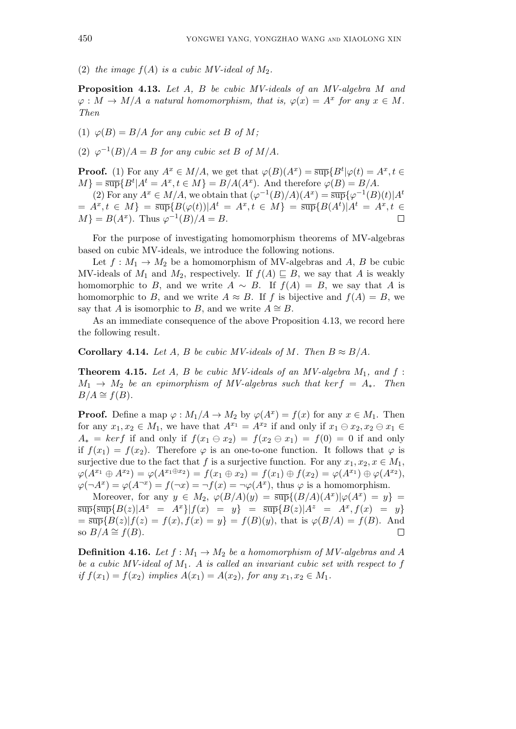(2) the image  $f(A)$  is a cubic MV-ideal of  $M_2$ .

**Proposition 4.13.** *Let A, B be cubic MV-ideals of an MV-algebra M and*  $\varphi: M \to M/A$  *a natural homomorphism, that is,*  $\varphi(x) = A^x$  *for any*  $x \in M$ *. Then*

(1)  $\varphi(B) = B/A$  *for any cubic set B of M*;

(2)  $\varphi^{-1}(B)/A = B$  *for any cubic set B of M*/*A.* 

**Proof.** (1) For any  $A^x \in M/A$ , we get that  $\varphi(B)(A^x) = \overline{\sup} \{ B^t | \varphi(t) = A^x, t \in$  $M$ <sup>}</sup> =  $\overline{\sup}$ { $B$ <sup>*t*</sup>| $A$ <sup>*t*</sup> =  $A$ <sup>*x*</sup>,*t*  $\in$  *M*} =  $B/A(A^x)$ . And therefore  $\varphi$ (*B*) =  $B/A$ .

(2) For any  $A^x \in M/A$ , we obtain that  $(\varphi^{-1}(B)/A)(A^x) = \overline{\sup} {\varphi^{-1}(B)(t)}A^t$  $A^x = A^x, t \in M$  =  $\frac{\text{sup}}{B(\varphi(t))} | A^t = A^x, t \in M$  =  $\frac{\text{sup}}{B(A^t) | A^t = A^x, t \in M$  $M$ } = *B*(*A<sup>x</sup>*). Thus  $\varphi^{-1}(B)/A = B$ .  $\Box$ 

For the purpose of investigating homomorphism theorems of MV-algebras based on cubic MV-ideals, we introduce the following notions.

Let  $f: M_1 \to M_2$  be a homomorphism of MV-algebras and A, B be cubic MV-ideals of  $M_1$  and  $M_2$ , respectively. If  $f(A) \sqsubseteq B$ , we say that A is weakly homomorphic to *B*, and we write  $A \sim B$ . If  $f(A) = B$ , we say that *A* is homomorphic to *B*, and we write  $A \approx B$ . If *f* is bijective and  $f(A) = B$ , we say that *A* is isomorphic to *B*, and we write  $A \cong B$ .

As an immediate consequence of the above Proposition 4.13, we record here the following result.

**Corollary 4.14.** *Let*  $A$ *,*  $B$  *be cubic MV-ideals of M. Then*  $B \approx B/A$ *.* 

**Theorem 4.15.** Let  $A$ ,  $B$  be cubic MV-ideals of an MV-algebra  $M_1$ , and  $f$ :  $M_1 \rightarrow M_2$  *be an epimorphism of MV-algebras such that*  $ker f = A_*$ *. Then*  $B/A \cong f(B)$ .

**Proof.** Define a map  $\varphi : M_1/A \to M_2$  by  $\varphi(A^x) = f(x)$  for any  $x \in M_1$ . Then for any  $x_1, x_2 \in M_1$ , we have that  $A^{x_1} = A^{x_2}$  if and only if  $x_1 \ominus x_2, x_2 \ominus x_1 \in$  $A_* = ker f$  if and only if  $f(x_1 \oplus x_2) = f(x_2 \oplus x_1) = f(0) = 0$  if and only if  $f(x_1) = f(x_2)$ . Therefore  $\varphi$  is an one-to-one function. It follows that  $\varphi$  is surjective due to the fact that *f* is a surjective function. For any  $x_1, x_2, x \in M_1$ ,  $\varphi(A^{x_1} \oplus A^{x_2}) = \varphi(A^{x_1 \oplus x_2}) = f(x_1 \oplus x_2) = f(x_1) \oplus f(x_2) = \varphi(A^{x_1}) \oplus \varphi(A^{x_2}),$  $\varphi(\neg A^x) = \varphi(A^{\neg x}) = f(\neg x) = \neg f(x) = \neg \varphi(A^x)$ , thus  $\varphi$  is a homomorphism.

Moreover, for any  $y \in M_2$ ,  $\varphi(B/A)(y) = \overline{\sup} \{(B/A)(A^x) | \varphi(A^x) = y\}$  $\overline{\sup} {\sup \{ \sup\{ B(z) | A^z = A^x \} | f(x) = y \}} = \overline{\sup} {B(z) | A^z = A^x, f(x) = y \}}$  $=\overline{\sup} {B(z)|f(z) = f(x), f(x) = y} = f(B)(y)$ , that is  $\varphi(B/A) = f(B)$ . And so  $B/A \cong f(B)$ .  $\Box$ 

**Definition 4.16.** *Let*  $f : M_1 \to M_2$  *be a homomorphism of MV-algebras and A be a cubic MV-ideal of M*1*. A is called an invariant cubic set with respect to f if*  $f(x_1) = f(x_2)$  *implies*  $A(x_1) = A(x_2)$ *, for any*  $x_1, x_2 \in M_1$ .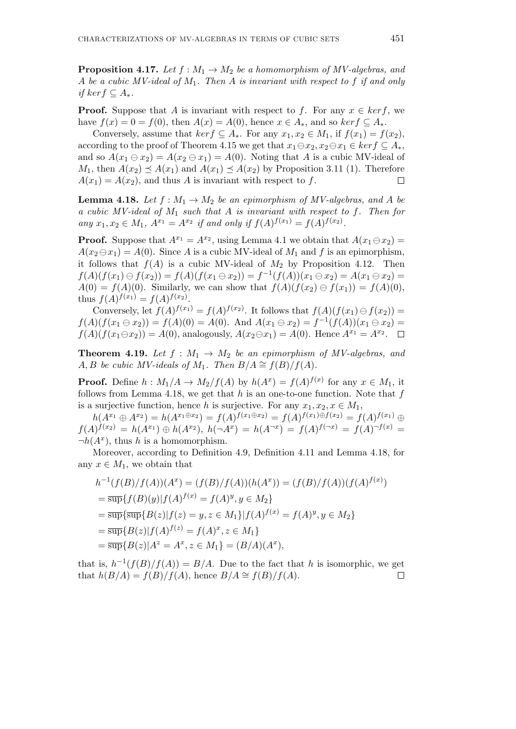**Proposition 4.17.** Let  $f : M_1 \to M_2$  be a homomorphism of MV-algebras, and *A be a cubic MV-ideal of M*1*. Then A is invariant with respect to f if and only if kerf ⊆ A∗.*

**Proof.** Suppose that *A* is invariant with respect to *f*. For any  $x \in \text{ker } f$ , we have  $f(x) = 0 = f(0)$ , then  $A(x) = A(0)$ , hence  $x \in A_*$ , and so  $ker f ⊆ A_*$ .

Conversely, assume that  $ker f \subseteq A_*$ . For any  $x_1, x_2 \in M_1$ , if  $f(x_1) = f(x_2)$ , according to the proof of Theorem 4.15 we get that  $x_1 \ominus x_2, x_2 \ominus x_1 \in \text{ker } f \subseteq A_*$ , and so  $A(x_1 \oplus x_2) = A(x_2 \oplus x_1) = A(0)$ . Noting that *A* is a cubic MV-ideal of *M*<sub>1</sub>, then  $A(x_2) \leq A(x_1)$  and  $A(x_1) \leq A(x_2)$  by Proposition 3.11 (1). Therefore  $A(x_1) = A(x_2)$ , and thus *A* is invariant with respect to *f*.  $\Box$ 

**Lemma 4.18.** *Let*  $f : M_1 \to M_2$  *be an epimorphism of MV-algebras, and A be a cubic MV-ideal of M*<sup>1</sup> *such that A is invariant with respect to f. Then for any*  $x_1, x_2 \in M_1$ ,  $A^{x_1} = A^{x_2}$  *if and only if*  $f(A)^{f(x_1)} = f(A)^{f(x_2)}$ .

**Proof.** Suppose that  $A^{x_1} = A^{x_2}$ , using Lemma 4.1 we obtain that  $A(x_1 \ominus x_2) =$  $A(x_2 \ominus x_1) = A(0)$ . Since *A* is a cubic MV-ideal of *M*<sub>1</sub> and *f* is an epimorphism, it follows that  $f(A)$  is a cubic MV-ideal of  $M_2$  by Proposition 4.12. Then  $f(A)(f(x_1) \ominus f(x_2)) = f(A)(f(x_1 \ominus x_2)) = f^{-1}(f(A))(x_1 \ominus x_2) = A(x_1 \ominus x_2) =$ *A*(0) = *f*(*A*)(0). Similarly, we can show that  $f(A)(f(x_2) \ominus f(x_1)) = f(A)(0)$ , thus  $f(A)^{f(x_1)} = f(A)^{f(x_2)}$ .

Conversely, let  $f(A)^{f(x_1)} = f(A)^{f(x_2)}$ . It follows that  $f(A)(f(x_1) \ominus f(x_2)) =$ *f*(*A*)(*f*(*x*<sub>1</sub>  $\ominus$  *x*<sub>2</sub>)) = *f*(*A*)(0) = *A*(0). And *A*(*x*<sub>1</sub>  $\ominus$  *x*<sub>2</sub>) = *f*<sup>-1</sup>(*f*(*A*))(*x*<sub>1</sub>  $\ominus$  *x*<sub>2</sub>) =  $f(A)(f(x_1 \ominus x_2)) = A(0)$ , analogously,  $A(x_2 \ominus x_1) = A(0)$ . Hence  $A^{x_1} = A^{x_2}$ .

**Theorem 4.19.** *Let*  $f : M_1 \rightarrow M_2$  *be an epimorphism of MV-algebras, and A, B be cubic MV-ideals of M*<sub>1</sub>*. Then*  $B/A \cong f(B)/f(A)$ *.* 

**Proof.** Define  $h: M_1/A \to M_2/f(A)$  by  $h(A^x) = f(A)^{f(x)}$  for any  $x \in M_1$ , it follows from Lemma 4.18, we get that *h* is an one-to-one function. Note that *f* is a surjective function, hence *h* is surjective. For any  $x_1, x_2, x \in M_1$ ,

 $h(A^{x_1} \oplus A^{x_2}) = h(A^{x_1 \oplus x_2}) = f(A)^{f(x_1 \oplus x_2)} = f(A)^{f(x_1) \oplus f(x_2)} = f(A)^{f(x_1)} \oplus$  $f(A)^{f(x_2)} = h(A^{x_1}) \oplus h(A^{x_2}), h(\neg A^x) = h(A^{\neg x}) = f(A)^{f(\neg x)} = f(A)^{\neg f(x)} =$  $\neg h(A^x)$ , thus *h* is a homomorphism.

Moreover, according to Definition 4.9, Definition 4.11 and Lemma 4.18, for any  $x \in M_1$ , we obtain that

$$
h^{-1}(f(B)/f(A))(A^x) = (f(B)/f(A))(h(A^x)) = (f(B)/f(A))(f(A)^{f(x)})
$$
  
=  $\overline{\sup} \{ f(B)(y) | f(A)^{f(x)} = f(A)^y, y \in M_2 \}$   
=  $\overline{\sup} \{ \overline{\sup} \{ B(z) | f(z) = y, z \in M_1 \} | f(A)^{f(x)} = f(A)^y, y \in M_2 \}$   
=  $\overline{\sup} \{ B(z) | f(A)^{f(z)} = f(A)^x, z \in M_1 \}$   
=  $\overline{\sup} \{ B(z) | A^z = A^x, z \in M_1 \} = (B/A)(A^x),$ 

that is,  $h^{-1}(f(B)/f(A)) = B/A$ . Due to the fact that *h* is isomorphic, we get that  $h(B/A) = f(B)/f(A)$ , hence  $B/A \cong f(B)/f(A)$ .  $\Box$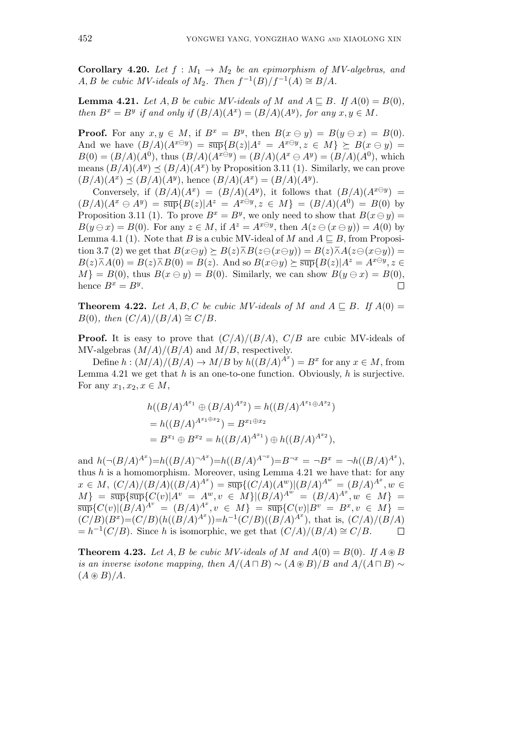**Corollary 4.20.** Let  $f : M_1 \to M_2$  be an epimorphism of MV-algebras, and *A, B be cubic MV-ideals of*  $M_2$ *. Then*  $f^{-1}(B)/f^{-1}(A) \cong B/A$ *.* 

**Lemma 4.21.** Let  $A, B$  be cubic MV-ideals of  $M$  and  $A \subseteq B$ . If  $A(0) = B(0)$ , *then*  $B^x = B^y$  *if and only if*  $(B/A)(A^x) = (B/A)(A^y)$ *, for any*  $x, y \in M$ *.* 

**Proof.** For any  $x, y \in M$ , if  $B^x = B^y$ , then  $B(x \ominus y) = B(y \ominus x) = B(0)$ . And we have  $(B/A)(A^{x\ominus y}) = \overline{\sup} \{B(z)|A^z = A^{x\ominus y}, z \in M\} \succeq B(x \ominus y)$  $B(0) = (B/A)(A^0)$ , thus  $(B/A)(A^{x \ominus y}) = (B/A)(A^x \ominus A^y) = (B/A)(A^0)$ , which means  $(B/A)(A^y) \le (B/A)(A^x)$  by Proposition 3.11 (1). Similarly, we can prove  $(B/A)(A^x) \preceq (B/A)(A^y)$ , hence  $(B/A)(A^x) = (B/A)(A^y)$ .

Conversely, if  $(B/A)(A^x) = (B/A)(A^y)$ , it follows that  $(B/A)(A^{x\ominus y}) =$  $(B/A)(A^x \ominus A^y) = \overline{\sup} {B(z)|A^z = A^{x \ominus y}, z \in M} = (B/A)(A^0) = B(0)$  by Proposition 3.11 (1). To prove  $B^x = B^y$ , we only need to show that  $B(x \ominus y) =$  $B(y \ominus x) = B(0)$ . For any  $z \in M$ , if  $A^z = A^{x \ominus y}$ , then  $A(z \ominus (x \ominus y)) = A(0)$  by Lemma 4.1 (1). Note that *B* is a cubic MV-ideal of *M* and  $A \subseteq B$ , from Proposition 3.7 (2) we get that  $B(x \ominus y) \succeq B(z) \overline{\wedge} B(z \ominus (x \ominus y)) = B(z) \overline{\wedge} A(z \ominus (x \ominus y)) =$  $B(z)\overline{\wedge}A(0) = B(z)\overline{\wedge}B(0) = B(z)$ . And so  $B(x\ominus y) \succeq \overline{\sup} \{B(z)|A^z = A^{x\ominus y}, z \in$  $M$ <sup>}</sup> = *B*(0), thus *B*( $x \ominus y$ ) = *B*(0). Similarly, we can show *B*( $y \ominus x$ ) = *B*(0), hence  $B^x = B^y$ .  $\Box$ 

**Theorem 4.22.** Let  $A, B, C$  be cubic MV-ideals of  $M$  and  $A \sqsubseteq B$ . If  $A(0) =$  $B(0)$ *, then*  $\left(\frac{C}{A}\right)$  $\left(\frac{B}{A}\right) \cong \frac{C}{B}$ *.* 

**Proof.** It is easy to prove that  $\left(\frac{C}{A}\right)/(B/A)$ ,  $C/B$  are cubic MV-ideals of MV-algebras (*M/A*)*/*(*B/A*) and *M/B*, respectively.

Define  $h : (M/A)/(B/A) \to M/B$  by  $h((B/A)^{A^x}) = B^x$  for any  $x \in M$ , from Lemma 4.21 we get that *h* is an one-to-one function. Obviously, *h* is surjective. For any  $x_1, x_2, x \in M$ ,

$$
h((B/A)^{A^{x_1}} \oplus (B/A)^{A^{x_2}}) = h((B/A)^{A^{x_1} \oplus A^{x_2}})
$$
  
=  $h((B/A)^{A^{x_1 \oplus x_2}}) = B^{x_1 \oplus x_2}$   
=  $B^{x_1} \oplus B^{x_2} = h((B/A)^{A^{x_1}}) \oplus h((B/A)^{A^{x_2}}),$ 

and  $h(\neg (B/A)^{A^x})=h((B/A)^{-A^x})=h((B/A)^{A^{-x}})=B^{-x}=\neg B^x=\neg h((B/A)^{A^x}),$ thus *h* is a homomorphism. Moreover, using Lemma 4.21 we have that: for any  $x \in M$ ,  $(C/A)/(B/A)((B/A)^{A^x}) = \overline{\sup} \{ (C/A)(A^w) | (B/A)^{A^w} = (B/A)^{A^x}, w \in$  $M\} = \overline{\sup} {\overline{\sup}} \{ \overline{\sup} \{ C(v) | A^v = A^w, v \in M \} | (B/A)^{A^w} = (B/A)^{A^x}, w \in M \} =$  $\frac{1}{\sup} \{C(v)| (B/A)^{A^v} = (B/A)^{A^x}, v \in M\} = \frac{1}{\sup} \{C(v)| B^v = B^x, v \in M\}$  $(C/B)(B^x) = (C/B)(h((B/A)^{A^x})) = h^{-1}(C/B)((B/A)^{A^x})$ , that is,  $(C/A)/(B/A)$  $= h^{-1}(C/B)$ . Since *h* is isomorphic, we get that  $\left(\frac{C}{A}\right)/(B/A) \cong C/B$ .  $\Box$ 

**Theorem 4.23.** Let  $A, B$  be cubic MV-ideals of  $M$  and  $A(0) = B(0)$ . If  $A \otimes B$ *is an inverse isotone mapping, then*  $A/(A \sqcap B) \sim (A \otimes B)/B$  and  $A/(A \sqcap B) \sim$  $(A \circledast B)/A$ .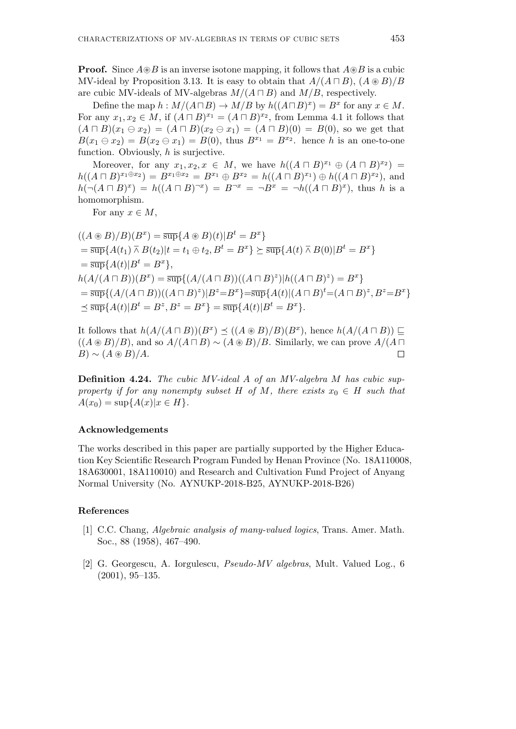**Proof.** Since  $A \otimes B$  is an inverse isotone mapping, it follows that  $A \otimes B$  is a cubic MV-ideal by Proposition 3.13. It is easy to obtain that  $A/(A \sqcap B)$ ,  $(A \otimes B)/B$ are cubic MV-ideals of MV-algebras  $M/(A \sqcap B)$  and  $M/B$ , respectively.

Define the map  $h : M/(A \sqcap B) \to M/B$  by  $h((A \sqcap B)^x) = B^x$  for any  $x \in M$ . For any  $x_1, x_2 \in M$ , if  $(A \sqcap B)^{x_1} = (A \sqcap B)^{x_2}$ , from Lemma 4.1 it follows that  $(A \sqcap B)(x_1 \ominus x_2) = (A \sqcap B)(x_2 \ominus x_1) = (A \sqcap B)(0) = B(0)$ , so we get that  $B(x_1 \oplus x_2) = B(x_2 \oplus x_1) = B(0)$ , thus  $B^{x_1} = B^{x_2}$ . hence *h* is an one-to-one function. Obviously, *h* is surjective.

Moreover, for any  $x_1, x_2, x \in M$ , we have  $h((A \sqcap B)^{x_1} \oplus (A \sqcap B)^{x_2}) =$  $h((A \sqcap B)^{x_1 \oplus x_2}) = B^{x_1 \oplus x_2} = B^{x_1} \oplus B^{x_2} = h((A \sqcap B)^{x_1}) \oplus h((A \sqcap B)^{x_2}),$  and  $h(\neg(A \sqcap B)^x) = h((A \sqcap B)^{\neg x}) = B^{\neg x} = \neg B^x = \neg h((A \sqcap B)^x)$ , thus h is a homomorphism.

For any  $x \in M$ ,

 $((A \otimes B)/B)(B^x) = \overline{\sup} \{A \otimes B)(t)|B^t = B^x\}$  $=\overline{\sup}\{A(t_1)\barwedge B(t_2)|t=t_1\oplus t_2,B^t=B^x\}\succeq \overline{\sup}\{A(t)\barwedge B(0)|B^t=B^x\}$  $=\overline{\sup}$ { $A(t)|B^t = B^x$  },  $h(A/(A \sqcap B))(B^{x}) = \overline{\sup} \{(A/(A \sqcap B))((A \sqcap B)^{z})| h((A \sqcap B)^{z}) = B^{x}\}\$  $=\overline{\sup}\{(A/(A\sqcap B))((A\sqcap B)^{z})|B^{z}=B^{x}\}=\overline{\sup}\{A(t)|(A\sqcap B)^{t}=(A\sqcap B)^{z},B^{z}=B^{x}\}$  $\preceq \overline{\sup} \{A(t)|B^t = B^z, B^z = B^x\} = \overline{\sup} \{A(t)|B^t = B^x\}.$ 

It follows that  $h(A/(A \sqcap B))(B^x)$   $\preceq ((A \otimes B)/B)(B^x)$ , hence  $h(A/(A \sqcap B))$  ⊑  $((A \otimes B)/B)$ , and so  $A/(A \sqcap B) \sim (A \otimes B)/B$ . Similarly, we can prove  $A/(A \sqcap B)$  $B) \sim (A \circledast B)/A$ .  $\Box$ 

**Definition 4.24.** *The cubic MV-ideal A of an MV-algebra M has cubic supproperty if for any nonempty subset*  $H$  *of*  $M$ *, there exists*  $x_0 \in H$  *such that*  $A(x_0) = \sup\{A(x)|x \in H\}.$ 

#### **Acknowledgements**

The works described in this paper are partially supported by the Higher Education Key Scientific Research Program Funded by Henan Province (No. 18A110008, 18A630001, 18A110010) and Research and Cultivation Fund Project of Anyang Normal University (No. AYNUKP-2018-B25, AYNUKP-2018-B26)

# **References**

- [1] C.C. Chang, *Algebraic analysis of many-valued logics*, Trans. Amer. Math. Soc., 88 (1958), 467–490.
- [2] G. Georgescu, A. Iorgulescu, *Pseudo-MV algebras*, Mult. Valued Log., 6 (2001), 95–135.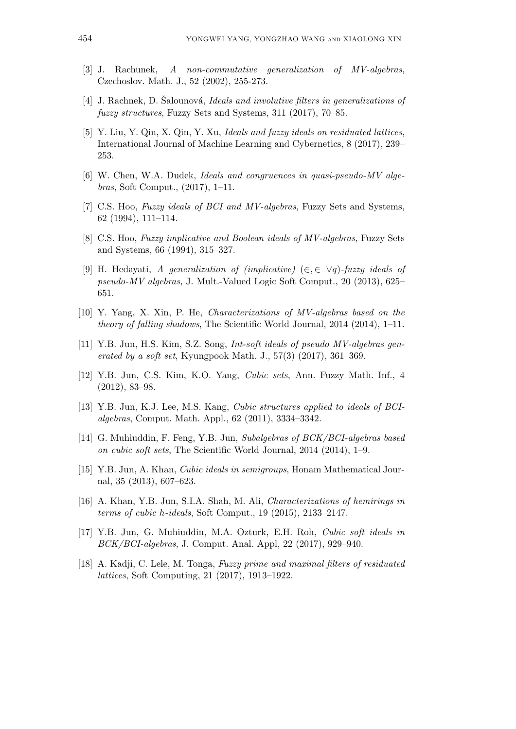- [3] J. Rachunek, *A non-commutative generalization of MV-algebras*, Czechoslov. Math. J., 52 (2002), 255-273.
- [4] J. Rachnek, D. Salounová, *Ideals and involutive filters in generalizations of fuzzy structures*, Fuzzy Sets and Systems, 311 (2017), 70–85.
- [5] Y. Liu, Y. Qin, X. Qin, Y. Xu, *Ideals and fuzzy ideals on residuated lattices*, International Journal of Machine Learning and Cybernetics, 8 (2017), 239– 253.
- [6] W. Chen, W.A. Dudek, *Ideals and congruences in quasi-pseudo-MV algebras*, Soft Comput., (2017), 1–11.
- [7] C.S. Hoo, *Fuzzy ideals of BCI and MV-algebras*, Fuzzy Sets and Systems, 62 (1994), 111–114.
- [8] C.S. Hoo, *Fuzzy implicative and Boolean ideals of MV-algebras,* Fuzzy Sets and Systems, 66 (1994), 315–327.
- [9] H. Hedayati, *A generalization of (implicative)* (*∈, ∈ ∨q*)*-fuzzy ideals of pseudo-MV algebras,* J. Mult.-Valued Logic Soft Comput., 20 (2013), 625– 651.
- [10] Y. Yang, X. Xin, P. He, *Characterizations of MV-algebras based on the theory of falling shadows*, The Scientific World Journal, 2014 (2014), 1–11.
- [11] Y.B. Jun, H.S. Kim, S.Z. Song, *Int-soft ideals of pseudo MV-algebras generated by a soft set*, Kyungpook Math. J., 57(3) (2017), 361–369.
- [12] Y.B. Jun, C.S. Kim, K.O. Yang, *Cubic sets*, Ann. Fuzzy Math. Inf., 4 (2012), 83–98.
- [13] Y.B. Jun, K.J. Lee, M.S. Kang, *Cubic structures applied to ideals of BCIalgebras*, Comput. Math. Appl., 62 (2011), 3334–3342.
- [14] G. Muhiuddin, F. Feng, Y.B. Jun, *Subalgebras of BCK/BCI-algebras based on cubic soft sets*, The Scientific World Journal, 2014 (2014), 1–9.
- [15] Y.B. Jun, A. Khan, *Cubic ideals in semigroups*, Honam Mathematical Journal, 35 (2013), 607–623.
- [16] A. Khan, Y.B. Jun, S.I.A. Shah, M. Ali, *Characterizations of hemirings in terms of cubic h-ideals*, Soft Comput., 19 (2015), 2133–2147.
- [17] Y.B. Jun, G. Muhiuddin, M.A. Ozturk, E.H. Roh, *Cubic soft ideals in BCK/BCI-algebras*, J. Comput. Anal. Appl, 22 (2017), 929–940.
- [18] A. Kadji, C. Lele, M. Tonga, *Fuzzy prime and maximal filters of residuated lattices*, Soft Computing, 21 (2017), 1913–1922.